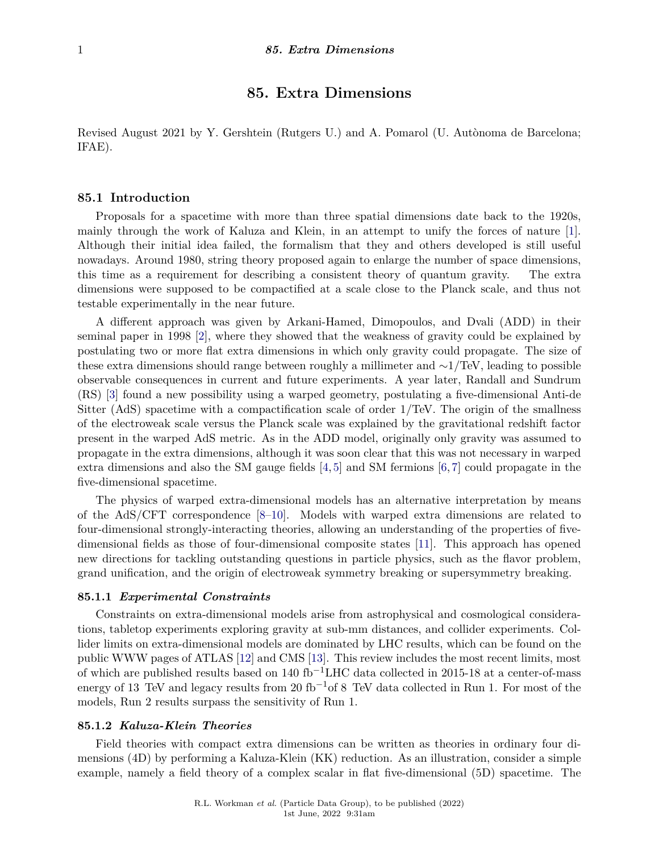# **85. Extra Dimensions**

Revised August 2021 by Y. Gershtein (Rutgers U.) and A. Pomarol (U. Autònoma de Barcelona; IFAE).

## **85.1 Introduction**

Proposals for a spacetime with more than three spatial dimensions date back to the 1920s, mainly through the work of Kaluza and Klein, in an attempt to unify the forces of nature [\[1\]](#page-11-0). Although their initial idea failed, the formalism that they and others developed is still useful nowadays. Around 1980, string theory proposed again to enlarge the number of space dimensions, this time as a requirement for describing a consistent theory of quantum gravity. The extra dimensions were supposed to be compactified at a scale close to the Planck scale, and thus not testable experimentally in the near future.

A different approach was given by Arkani-Hamed, Dimopoulos, and Dvali (ADD) in their seminal paper in 1998 [\[2\]](#page-11-1), where they showed that the weakness of gravity could be explained by postulating two or more flat extra dimensions in which only gravity could propagate. The size of these extra dimensions should range between roughly a millimeter and ∼1/TeV, leading to possible observable consequences in current and future experiments. A year later, Randall and Sundrum (RS) [\[3\]](#page-11-2) found a new possibility using a warped geometry, postulating a five-dimensional Anti-de Sitter (AdS) spacetime with a compactification scale of order 1/TeV. The origin of the smallness of the electroweak scale versus the Planck scale was explained by the gravitational redshift factor present in the warped AdS metric. As in the ADD model, originally only gravity was assumed to propagate in the extra dimensions, although it was soon clear that this was not necessary in warped extra dimensions and also the SM gauge fields  $[4,5]$  $[4,5]$  and SM fermions  $[6,7]$  $[6,7]$  could propagate in the five-dimensional spacetime.

The physics of warped extra-dimensional models has an alternative interpretation by means of the AdS/CFT correspondence [\[8–](#page-11-7)[10\]](#page-11-8). Models with warped extra dimensions are related to four-dimensional strongly-interacting theories, allowing an understanding of the properties of fivedimensional fields as those of four-dimensional composite states [\[11\]](#page-11-9). This approach has opened new directions for tackling outstanding questions in particle physics, such as the flavor problem, grand unification, and the origin of electroweak symmetry breaking or supersymmetry breaking.

### **85.1.1** *Experimental Constraints*

Constraints on extra-dimensional models arise from astrophysical and cosmological considerations, tabletop experiments exploring gravity at sub-mm distances, and collider experiments. Collider limits on extra-dimensional models are dominated by LHC results, which can be found on the public WWW pages of ATLAS [\[12\]](#page-11-10) and CMS [\[13\]](#page-11-11). This review includes the most recent limits, most of which are published results based on 140 fb−1LHC data collected in 2015-18 at a center-of-mass energy of 13 TeV and legacy results from 20 fb<sup>-1</sup>of 8 TeV data collected in Run 1. For most of the models, Run 2 results surpass the sensitivity of Run 1.

## **85.1.2** *Kaluza-Klein Theories*

Field theories with compact extra dimensions can be written as theories in ordinary four dimensions (4D) by performing a Kaluza-Klein (KK) reduction. As an illustration, consider a simple example, namely a field theory of a complex scalar in flat five-dimensional (5D) spacetime. The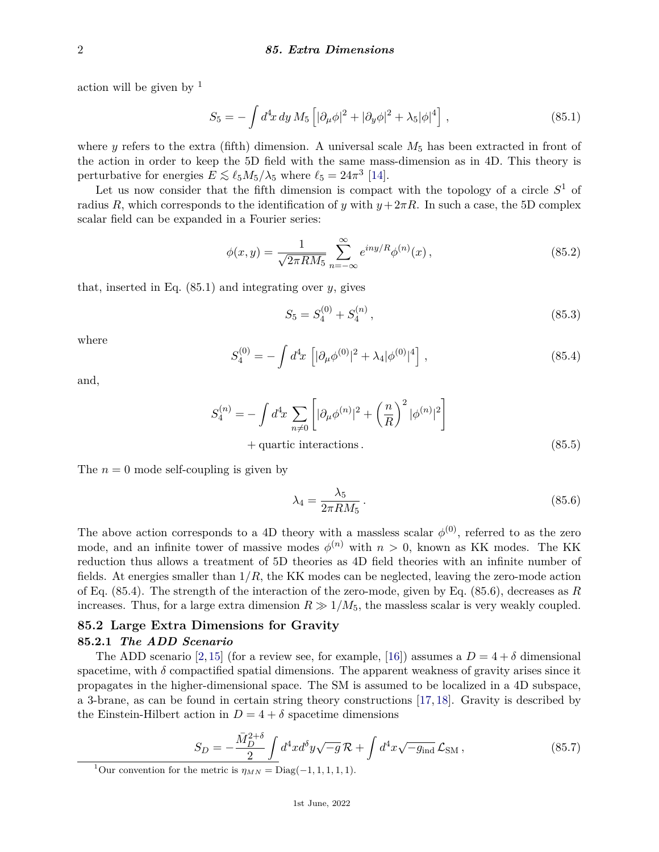action will be given by  $<sup>1</sup>$  $<sup>1</sup>$  $<sup>1</sup>$ </sup>

$$
S_5 = -\int d^4x \, dy \, M_5 \left[ |\partial_\mu \phi|^2 + |\partial_y \phi|^2 + \lambda_5 |\phi|^4 \right] \,, \tag{85.1}
$$

where *y* refers to the extra (fifth) dimension. A universal scale  $M_5$  has been extracted in front of the action in order to keep the 5D field with the same mass-dimension as in 4D. This theory is perturbative for energies  $E \lesssim \ell_5 M_5/\lambda_5$  where  $\ell_5 = 24\pi^3$  [\[14\]](#page-11-12).

Let us now consider that the fifth dimension is compact with the topology of a circle  $S^1$  of radius *R*, which corresponds to the identification of *y* with  $y + 2\pi R$ . In such a case, the 5D complex scalar field can be expanded in a Fourier series:

$$
\phi(x,y) = \frac{1}{\sqrt{2\pi RM_5}} \sum_{n=-\infty}^{\infty} e^{iny/R} \phi^{(n)}(x),
$$
\n(85.2)

that, inserted in Eq. (85.1) and integrating over *y*, gives

$$
S_5 = S_4^{(0)} + S_4^{(n)}, \tag{85.3}
$$

where

$$
S_4^{(0)} = -\int d^4x \left[|\partial_\mu \phi^{(0)}|^2 + \lambda_4 |\phi^{(0)}|^4\right],\tag{85.4}
$$

and,

$$
S_4^{(n)} = -\int d^4x \sum_{n \neq 0} \left[ |\partial_\mu \phi^{(n)}|^2 + \left( \frac{n}{R} \right)^2 |\phi^{(n)}|^2 \right] +
$$
quartic interactions. (85.5)

The  $n = 0$  mode self-coupling is given by

$$
\lambda_4 = \frac{\lambda_5}{2\pi R M_5} \,. \tag{85.6}
$$

The above action corresponds to a 4D theory with a massless scalar  $\phi^{(0)}$ , referred to as the zero mode, and an infinite tower of massive modes  $\phi^{(n)}$  with  $n > 0$ , known as KK modes. The KK reduction thus allows a treatment of 5D theories as 4D field theories with an infinite number of fields. At energies smaller than  $1/R$ , the KK modes can be neglected, leaving the zero-mode action of Eq. (85.4). The strength of the interaction of the zero-mode, given by Eq. (85.6), decreases as *R* increases. Thus, for a large extra dimension  $R \gg 1/M_5$ , the massless scalar is very weakly coupled.

## **85.2 Large Extra Dimensions for Gravity 85.2.1** *The ADD Scenario*

The ADD scenario [\[2,](#page-11-1)[15\]](#page-11-13) (for a review see, for example, [\[16\]](#page-12-0)) assumes a  $D = 4 + \delta$  dimensional spacetime, with  $\delta$  compactified spatial dimensions. The apparent weakness of gravity arises since it propagates in the higher-dimensional space. The SM is assumed to be localized in a 4D subspace, a 3-brane, as can be found in certain string theory constructions [\[17,](#page-12-1) [18\]](#page-12-2). Gravity is described by the Einstein-Hilbert action in  $D = 4 + \delta$  spacetime dimensions

$$
S_D = -\frac{\bar{M}_D^{2+\delta}}{2} \int d^4x d^{\delta}y \sqrt{-g} \mathcal{R} + \int d^4x \sqrt{-g_{\text{ind}}} \mathcal{L}_{\text{SM}} , \qquad (85.7)
$$

<span id="page-1-0"></span><sup>&</sup>lt;sup>1</sup>Our convention for the metric is  $\eta_{MN} = \text{Diag}(-1, 1, 1, 1, 1)$ .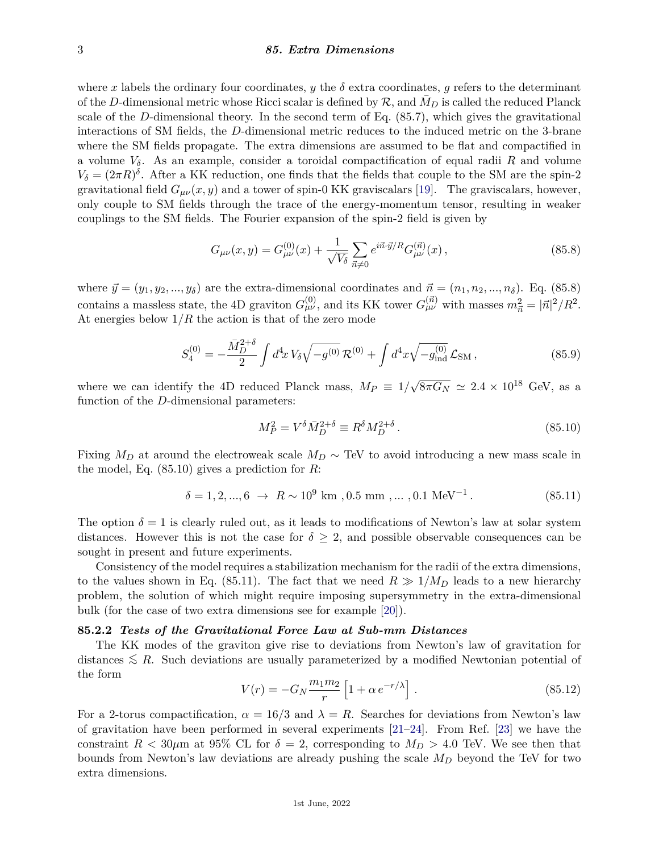#### 3 *85. Extra Dimensions*

where *x* labels the ordinary four coordinates, *y* the  $\delta$  extra coordinates, *g* refers to the determinant of the *D*-dimensional metric whose Ricci scalar is defined by  $\mathcal{R}$ , and  $M_D$  is called the reduced Planck scale of the *D*-dimensional theory. In the second term of Eq. (85.7), which gives the gravitational interactions of SM fields, the *D*-dimensional metric reduces to the induced metric on the 3-brane where the SM fields propagate. The extra dimensions are assumed to be flat and compactified in a volume *Vδ*. As an example, consider a toroidal compactification of equal radii *R* and volume  $V_{\delta} = (2\pi R)^{\delta}$ . After a KK reduction, one finds that the fields that couple to the SM are the spin-2 gravitational field  $G_{\mu\nu}(x, y)$  and a tower of spin-0 KK graviscalars [\[19\]](#page-12-3). The graviscalars, however, only couple to SM fields through the trace of the energy-momentum tensor, resulting in weaker couplings to the SM fields. The Fourier expansion of the spin-2 field is given by

$$
G_{\mu\nu}(x,y) = G^{(0)}_{\mu\nu}(x) + \frac{1}{\sqrt{V_{\delta}}} \sum_{\vec{n}\neq 0} e^{i\vec{n}\cdot\vec{y}/R} G^{(\vec{n})}_{\mu\nu}(x) , \qquad (85.8)
$$

where  $\vec{y} = (y_1, y_2, \dots, y_\delta)$  are the extra-dimensional coordinates and  $\vec{n} = (n_1, n_2, \dots, n_\delta)$ . Eq. (85.8) contains a massless state, the 4D graviton  $G_{\mu\nu}^{(0)}$ , and its KK tower  $G_{\mu\nu}^{(\vec{n})}$  with masses  $m_{\vec{n}}^2 = |\vec{n}|^2/R^2$ . At energies below 1*/R* the action is that of the zero mode

$$
S_4^{(0)} = -\frac{\bar{M}_D^{2+\delta}}{2} \int d^4x \, V_\delta \sqrt{-g^{(0)}} \, \mathcal{R}^{(0)} + \int d^4x \sqrt{-g^{(0)}_{\text{ind}}} \, \mathcal{L}_{\text{SM}} \,, \tag{85.9}
$$

where we can identify the 4D reduced Planck mass,  $M_P \equiv 1/2$  $\sqrt{8\pi G_N} \simeq 2.4 \times 10^{18}$  GeV, as a function of the *D*-dimensional parameters:

$$
M_P^2 = V^\delta \bar{M}_D^{2+\delta} \equiv R^\delta M_D^{2+\delta} \,. \tag{85.10}
$$

Fixing  $M_D$  at around the electroweak scale  $M_D \sim \text{TeV}$  to avoid introducing a new mass scale in the model, Eq. (85.10) gives a prediction for *R*:

$$
\delta = 1, 2, ..., 6 \rightarrow R \sim 10^9 \text{ km}, 0.5 \text{ mm}, ..., 0.1 \text{ MeV}^{-1}. \tag{85.11}
$$

The option  $\delta = 1$  is clearly ruled out, as it leads to modifications of Newton's law at solar system distances. However this is not the case for  $\delta \geq 2$ , and possible observable consequences can be sought in present and future experiments.

Consistency of the model requires a stabilization mechanism for the radii of the extra dimensions, to the values shown in Eq. (85.11). The fact that we need  $R \gg 1/M_D$  leads to a new hierarchy problem, the solution of which might require imposing supersymmetry in the extra-dimensional bulk (for the case of two extra dimensions see for example [\[20\]](#page-12-4)).

#### **85.2.2** *Tests of the Gravitational Force Law at Sub-mm Distances*

The KK modes of the graviton give rise to deviations from Newton's law of gravitation for distances  $\leq R$ . Such deviations are usually parameterized by a modified Newtonian potential of the form

$$
V(r) = -G_N \frac{m_1 m_2}{r} \left[ 1 + \alpha e^{-r/\lambda} \right].
$$
 (85.12)

For a 2-torus compactification,  $\alpha = 16/3$  and  $\lambda = R$ . Searches for deviations from Newton's law of gravitation have been performed in several experiments  $[21-24]$  $[21-24]$ . From Ref. [\[23\]](#page-12-7) we have the constraint  $R < 30\mu$ m at 95% CL for  $\delta = 2$ , corresponding to  $M_D > 4.0$  TeV. We see then that bounds from Newton's law deviations are already pushing the scale *M<sup>D</sup>* beyond the TeV for two extra dimensions.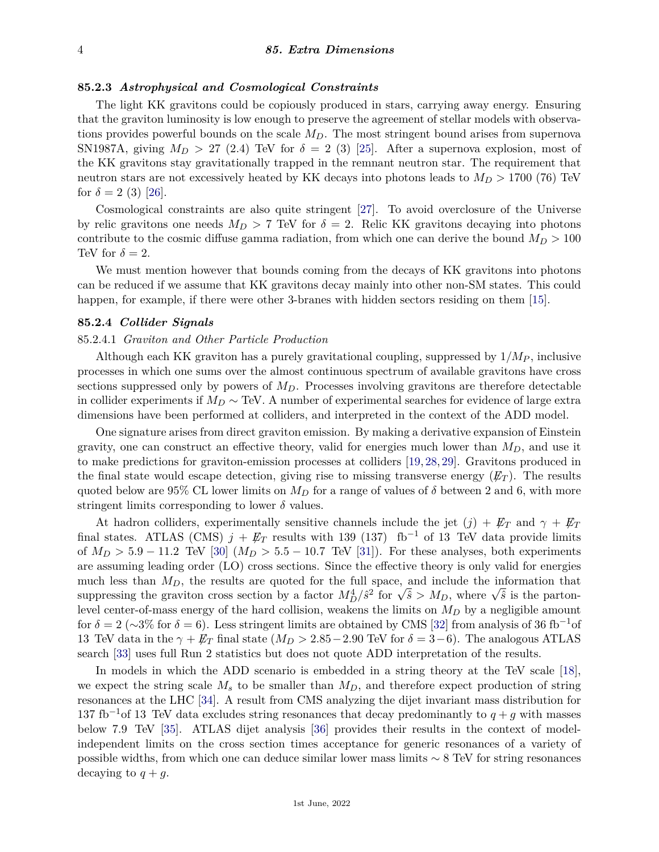## **85.2.3** *Astrophysical and Cosmological Constraints*

The light KK gravitons could be copiously produced in stars, carrying away energy. Ensuring that the graviton luminosity is low enough to preserve the agreement of stellar models with observations provides powerful bounds on the scale *MD*. The most stringent bound arises from supernova SN1987A, giving  $M_D > 27$  (2.4) TeV for  $\delta = 2$  (3) [\[25\]](#page-12-8). After a supernova explosion, most of the KK gravitons stay gravitationally trapped in the remnant neutron star. The requirement that neutron stars are not excessively heated by KK decays into photons leads to *M<sup>D</sup> >* 1700 (76) TeV for  $\delta = 2$  (3) [\[26\]](#page-12-9).

Cosmological constraints are also quite stringent [\[27\]](#page-12-10). To avoid overclosure of the Universe by relic gravitons one needs  $M_D > 7$  TeV for  $\delta = 2$ . Relic KK gravitons decaying into photons contribute to the cosmic diffuse gamma radiation, from which one can derive the bound  $M_D > 100$ TeV for  $\delta = 2$ .

We must mention however that bounds coming from the decays of KK gravitons into photons can be reduced if we assume that KK gravitons decay mainly into other non-SM states. This could happen, for example, if there were other 3-branes with hidden sectors residing on them [\[15\]](#page-11-13).

## **85.2.4** *Collider Signals*

## 85.2.4.1 *Graviton and Other Particle Production*

Although each KK graviton has a purely gravitational coupling, suppressed by 1*/M<sup>P</sup>* , inclusive processes in which one sums over the almost continuous spectrum of available gravitons have cross sections suppressed only by powers of *MD*. Processes involving gravitons are therefore detectable in collider experiments if *M<sup>D</sup>* ∼ TeV. A number of experimental searches for evidence of large extra dimensions have been performed at colliders, and interpreted in the context of the ADD model.

One signature arises from direct graviton emission. By making a derivative expansion of Einstein gravity, one can construct an effective theory, valid for energies much lower than *MD*, and use it to make predictions for graviton-emission processes at colliders [\[19,](#page-12-3) [28,](#page-12-11) [29\]](#page-12-12). Gravitons produced in the final state would escape detection, giving rise to missing transverse energy  $(F_T)$ . The results quoted below are 95% CL lower limits on  $M_D$  for a range of values of  $\delta$  between 2 and 6, with more stringent limits corresponding to lower  $\delta$  values.

At hadron colliders, experimentally sensitive channels include the jet  $(j) + \not{E}_T$  and  $\gamma + \not{E}_T$ final states. ATLAS (CMS)  $j + \not\!\!E_T$  results with 139 (137) fb<sup>-1</sup> of 13 TeV data provide limits of  $M_D > 5.9 - 11.2$  TeV [\[30\]](#page-12-13)  $(M_D > 5.5 - 10.7$  TeV [\[31\]](#page-12-14)). For these analyses, both experiments are assuming leading order (LO) cross sections. Since the effective theory is only valid for energies much less than *MD*, the results are quoted for the full space, and include the information that much less than  $M_D$ , the results are quoted for the full space, and include the information that suppressing the graviton cross section by a factor  $M_D^4/\hat{s}^2$  for  $\sqrt{\hat{s}} > M_D$ , where  $\sqrt{\hat{s}}$  is the partonlevel center-of-mass energy of the hard collision, weakens the limits on *M<sup>D</sup>* by a negligible amount for  $\delta = 2 (\sim 3\%$  for  $\delta = 6)$ . Less stringent limits are obtained by CMS [\[32\]](#page-12-15) from analysis of 36 fb<sup>-1</sup>of 13 TeV data in the  $\gamma + \mathbb{Z}_T$  final state ( $M_D > 2.85 - 2.90$  TeV for  $\delta = 3-6$ ). The analogous ATLAS search [\[33\]](#page-12-16) uses full Run 2 statistics but does not quote ADD interpretation of the results.

In models in which the ADD scenario is embedded in a string theory at the TeV scale [\[18\]](#page-12-2), we expect the string scale  $M_s$  to be smaller than  $M_D$ , and therefore expect production of string resonances at the LHC [\[34\]](#page-12-17). A result from CMS analyzing the dijet invariant mass distribution for 137 fb<sup>-1</sup>of 13 TeV data excludes string resonances that decay predominantly to  $q + q$  with masses below 7.9 TeV [\[35\]](#page-12-18). ATLAS dijet analysis [\[36\]](#page-12-19) provides their results in the context of modelindependent limits on the cross section times acceptance for generic resonances of a variety of possible widths, from which one can deduce similar lower mass limits ∼ 8 TeV for string resonances decaying to  $q + g$ .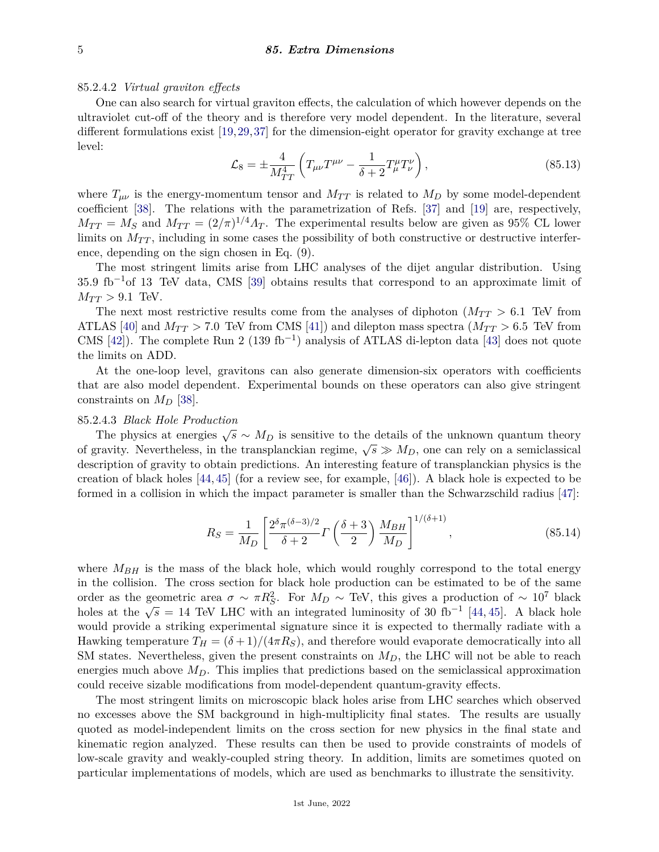85.2.4.2 *Virtual graviton effects*

One can also search for virtual graviton effects, the calculation of which however depends on the ultraviolet cut-off of the theory and is therefore very model dependent. In the literature, several different formulations exist [\[19,](#page-12-3)[29,](#page-12-12)[37\]](#page-12-20) for the dimension-eight operator for gravity exchange at tree level:

$$
\mathcal{L}_8 = \pm \frac{4}{M_{TT}^4} \left( T_{\mu\nu} T^{\mu\nu} - \frac{1}{\delta + 2} T_{\mu}^{\mu} T_{\nu}^{\nu} \right), \tag{85.13}
$$

where  $T_{\mu\nu}$  is the energy-momentum tensor and  $M_{TT}$  is related to  $M_D$  by some model-dependent coefficient [\[38\]](#page-12-21). The relations with the parametrization of Refs. [\[37\]](#page-12-20) and [\[19\]](#page-12-3) are, respectively,  $M_{TT} = M_S$  and  $M_{TT} = (2/\pi)^{1/4} \Lambda_T$ . The experimental results below are given as 95% CL lower limits on  $M_{TT}$ , including in some cases the possibility of both constructive or destructive interference, depending on the sign chosen in Eq. (9).

The most stringent limits arise from LHC analyses of the dijet angular distribution. Using  $35.9 \text{ fb}^{-1}$ of 13 TeV data, CMS [\[39\]](#page-12-22) obtains results that correspond to an approximate limit of  $M_{TT}$  > 9.1 TeV.

The next most restrictive results come from the analyses of diphoton  $(M_{TT} > 6.1$  TeV from ATLAS [\[40\]](#page-12-23) and  $M_{TT} > 7.0$  TeV from CMS [\[41\]](#page-12-24)) and dilepton mass spectra ( $M_{TT} > 6.5$  TeV from CMS [\[42\]](#page-12-25)). The complete Run 2 (139 fb<sup>-1</sup>) analysis of ATLAS di-lepton data [\[43\]](#page-12-26) does not quote the limits on ADD.

At the one-loop level, gravitons can also generate dimension-six operators with coefficients that are also model dependent. Experimental bounds on these operators can also give stringent constraints on  $M_D$  [\[38\]](#page-12-21).

## 85.2.4.3 *Black Hole Production*

The physics at energies  $\sqrt{s} \sim M_D$  is sensitive to the details of the unknown quantum theory of gravity. Nevertheless, in the transplanckian regime,  $\sqrt{s} \gg M_D$ , one can rely on a semiclassical description of gravity to obtain predictions. An interesting feature of transplanckian physics is the creation of black holes [\[44,](#page-12-27) [45\]](#page-12-28) (for a review see, for example, [\[46\]](#page-12-29)). A black hole is expected to be formed in a collision in which the impact parameter is smaller than the Schwarzschild radius [\[47\]](#page-12-30):

$$
R_S = \frac{1}{M_D} \left[ \frac{2^{\delta} \pi^{(\delta - 3)/2}}{\delta + 2} \Gamma \left( \frac{\delta + 3}{2} \right) \frac{M_{BH}}{M_D} \right]^{1/(\delta + 1)}, \tag{85.14}
$$

where  $M_{BH}$  is the mass of the black hole, which would roughly correspond to the total energy in the collision. The cross section for black hole production can be estimated to be of the same order as the geometric area  $\sigma \sim \pi R_S^2$ . For  $M_D \sim \text{TeV}$ , this gives a production of  $\sim 10^7$  black bodies at the  $\sqrt{s} = 14$  TeV LHC with an integrated luminosity of 30 fb<sup>-1</sup> [\[44,](#page-12-27) [45\]](#page-12-28). A black hole would provide a striking experimental signature since it is expected to thermally radiate with a Hawking temperature  $T_H = (\delta + 1)/(4 \pi R_S)$ , and therefore would evaporate democratically into all SM states. Nevertheless, given the present constraints on  $M_D$ , the LHC will not be able to reach energies much above  $M_D$ . This implies that predictions based on the semiclassical approximation could receive sizable modifications from model-dependent quantum-gravity effects.

The most stringent limits on microscopic black holes arise from LHC searches which observed no excesses above the SM background in high-multiplicity final states. The results are usually quoted as model-independent limits on the cross section for new physics in the final state and kinematic region analyzed. These results can then be used to provide constraints of models of low-scale gravity and weakly-coupled string theory. In addition, limits are sometimes quoted on particular implementations of models, which are used as benchmarks to illustrate the sensitivity.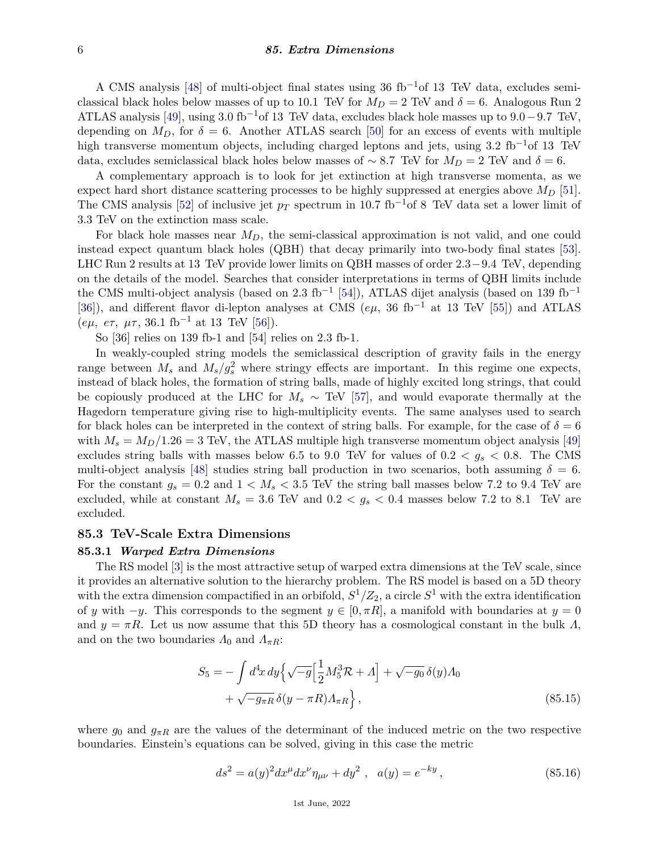#### 6 *85. Extra Dimensions*

A CMS analysis [\[48\]](#page-12-31) of multi-object final states using 36 fb<sup>-1</sup>of 13 TeV data, excludes semiclassical black holes below masses of up to 10.1 TeV for  $M_D = 2$  TeV and  $\delta = 6$ . Analogous Run 2 ATLAS analysis [\[49\]](#page-12-32), using 3.0 fb−1of 13 TeV data, excludes black hole masses up to 9*.*0−9*.*7 TeV, depending on  $M_D$ , for  $\delta = 6$ . Another ATLAS search [\[50\]](#page-12-33) for an excess of events with multiple high transverse momentum objects, including charged leptons and jets, using 3.2 fb<sup>-1</sup>of 13 TeV data, excludes semiclassical black holes below masses of ~8.7 TeV for  $M_D = 2$  TeV and  $\delta = 6$ .

A complementary approach is to look for jet extinction at high transverse momenta, as we expect hard short distance scattering processes to be highly suppressed at energies above *M<sup>D</sup>* [\[51\]](#page-12-34). The CMS analysis [\[52\]](#page-12-35) of inclusive jet  $p_T$  spectrum in 10.7 fb<sup>-1</sup>of 8 TeV data set a lower limit of 3.3 TeV on the extinction mass scale.

For black hole masses near *MD*, the semi-classical approximation is not valid, and one could instead expect quantum black holes (QBH) that decay primarily into two-body final states [\[53\]](#page-12-36). LHC Run 2 results at 13 TeV provide lower limits on QBH masses of order 2*.*3−9*.*4 TeV, depending on the details of the model. Searches that consider interpretations in terms of QBH limits include the CMS multi-object analysis (based on 2.3 fb<sup>-1</sup> [\[54\]](#page-13-0)), ATLAS dijet analysis (based on 139 fb<sup>-1</sup> [\[36\]](#page-12-19)), and different flavor di-lepton analyses at CMS (*eµ*, 36 fb−<sup>1</sup> at 13 TeV [\[55\]](#page-13-1)) and ATLAS (*eµ, e* $\tau$ ,  $\mu\tau$ , 36.1 fb<sup>-1</sup> at 13 TeV [\[56\]](#page-13-2)).

So [36] relies on 139 fb-1 and [54] relies on 2.3 fb-1.

In weakly-coupled string models the semiclassical description of gravity fails in the energy range between  $M_s$  and  $M_s/g_s^2$  where stringy effects are important. In this regime one expects, instead of black holes, the formation of string balls, made of highly excited long strings, that could be copiously produced at the LHC for  $M_s \sim \text{TeV}$  [\[57\]](#page-13-3), and would evaporate thermally at the Hagedorn temperature giving rise to high-multiplicity events. The same analyses used to search for black holes can be interpreted in the context of string balls. For example, for the case of  $\delta = 6$ with  $M_s = M_D/1.26 = 3$  TeV, the ATLAS multiple high transverse momentum object analysis [\[49\]](#page-12-32) excludes string balls with masses below 6.5 to 9.0 TeV for values of  $0.2 < g_s < 0.8$ . The CMS multi-object analysis [\[48\]](#page-12-31) studies string ball production in two scenarios, both assuming  $\delta = 6$ . For the constant  $g_s = 0.2$  and  $1 < M_s < 3.5$  TeV the string ball masses below 7.2 to 9.4 TeV are excluded, while at constant  $M_s = 3.6$  TeV and  $0.2 < g_s < 0.4$  masses below 7.2 to 8.1 TeV are excluded.

## **85.3 TeV-Scale Extra Dimensions**

#### **85.3.1** *Warped Extra Dimensions*

The RS model [\[3\]](#page-11-2) is the most attractive setup of warped extra dimensions at the TeV scale, since it provides an alternative solution to the hierarchy problem. The RS model is based on a 5D theory with the extra dimension compactified in an orbifold,  $S^1/Z_2$ , a circle  $S^1$  with the extra identification of *y* with  $-y$ . This corresponds to the segment  $y \in [0, \pi R]$ , a manifold with boundaries at  $y = 0$ and  $y = \pi R$ . Let us now assume that this 5D theory has a cosmological constant in the bulk *Λ*, and on the two boundaries  $\Lambda_0$  and  $\Lambda_{\pi R}$ :

$$
S_5 = -\int d^4x \, dy \Big\{ \sqrt{-g} \Big[ \frac{1}{2} M_5^3 \mathcal{R} + \Lambda \Big] + \sqrt{-g_0} \, \delta(y) \Lambda_0 + \sqrt{-g_{\pi R}} \, \delta(y - \pi R) \Lambda_{\pi R} \Big\},\tag{85.15}
$$

where  $g_0$  and  $g_{\pi R}$  are the values of the determinant of the induced metric on the two respective boundaries. Einstein's equations can be solved, giving in this case the metric

$$
ds^{2} = a(y)^{2} dx^{\mu} dx^{\nu} \eta_{\mu\nu} + dy^{2} , \quad a(y) = e^{-ky}, \tag{85.16}
$$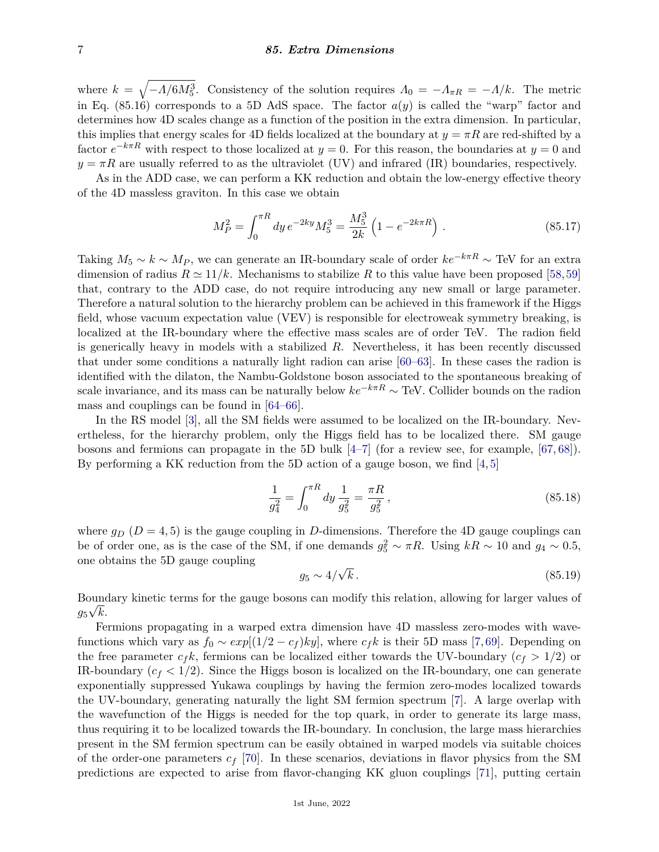## 7 *85. Extra Dimensions*

where  $k = \sqrt{-A/6M_5^3}$ . Consistency of the solution requires  $\Lambda_0 = -A_{\pi R} = -A/k$ . The metric in Eq.  $(85.16)$  corresponds to a 5D AdS space. The factor  $a(y)$  is called the "warp" factor and determines how 4D scales change as a function of the position in the extra dimension. In particular, this implies that energy scales for 4D fields localized at the boundary at  $y = \pi R$  are red-shifted by a factor  $e^{-k\pi R}$  with respect to those localized at  $y = 0$ . For this reason, the boundaries at  $y = 0$  and  $y = \pi R$  are usually referred to as the ultraviolet (UV) and infrared (IR) boundaries, respectively.

As in the ADD case, we can perform a KK reduction and obtain the low-energy effective theory of the 4D massless graviton. In this case we obtain

$$
M_P^2 = \int_0^{\pi R} dy \, e^{-2ky} M_5^3 = \frac{M_5^3}{2k} \left( 1 - e^{-2k\pi R} \right) \,. \tag{85.17}
$$

Taking  $M_5 \sim k \sim M_P$ , we can generate an IR-boundary scale of order  $ke^{-k\pi R} \sim \text{TeV}$  for an extra dimension of radius  $R \simeq 11/k$ . Mechanisms to stabilize R to this value have been proposed [\[58,](#page-13-4)[59\]](#page-13-5) that, contrary to the ADD case, do not require introducing any new small or large parameter. Therefore a natural solution to the hierarchy problem can be achieved in this framework if the Higgs field, whose vacuum expectation value (VEV) is responsible for electroweak symmetry breaking, is localized at the IR-boundary where the effective mass scales are of order TeV. The radion field is generically heavy in models with a stabilized *R*. Nevertheless, it has been recently discussed that under some conditions a naturally light radion can arise [\[60–](#page-13-6)[63\]](#page-13-7). In these cases the radion is identified with the dilaton, the Nambu-Goldstone boson associated to the spontaneous breaking of scale invariance, and its mass can be naturally below  $ke^{-k\pi R} \sim \text{TeV}$ . Collider bounds on the radion mass and couplings can be found in [\[64–](#page-13-8)[66\]](#page-13-9).

In the RS model [\[3\]](#page-11-2), all the SM fields were assumed to be localized on the IR-boundary. Nevertheless, for the hierarchy problem, only the Higgs field has to be localized there. SM gauge bosons and fermions can propagate in the 5D bulk [\[4–](#page-11-3)[7\]](#page-11-6) (for a review see, for example, [\[67,](#page-13-10) [68\]](#page-13-11)). By performing a KK reduction from the 5D action of a gauge boson, we find  $[4,5]$  $[4,5]$ 

$$
\frac{1}{g_4^2} = \int_0^{\pi R} dy \, \frac{1}{g_5^2} = \frac{\pi R}{g_5^2},\tag{85.18}
$$

where  $g_D$  ( $D = 4, 5$ ) is the gauge coupling in *D*-dimensions. Therefore the 4D gauge couplings can be of order one, as is the case of the SM, if one demands  $g_5^2 \sim \pi R$ . Using  $kR \sim 10$  and  $g_4 \sim 0.5$ , one obtains the 5D gauge coupling √

$$
g_5 \sim 4/\sqrt{k} \,. \tag{85.19}
$$

Boundary kinetic terms for the gauge bosons can modify this relation, allowing for larger values of  $g_5\sqrt{k}$ .

Fermions propagating in a warped extra dimension have 4D massless zero-modes with wavefunctions which vary as  $f_0 \sim exp[(1/2 - c_f)ky]$ , where  $c_f k$  is their 5D mass [\[7,](#page-11-6)[69\]](#page-13-12). Depending on the free parameter  $c_f k$ , fermions can be localized either towards the UV-boundary ( $c_f > 1/2$ ) or IR-boundary  $(c_f < 1/2)$ . Since the Higgs boson is localized on the IR-boundary, one can generate exponentially suppressed Yukawa couplings by having the fermion zero-modes localized towards the UV-boundary, generating naturally the light SM fermion spectrum [\[7\]](#page-11-6). A large overlap with the wavefunction of the Higgs is needed for the top quark, in order to generate its large mass, thus requiring it to be localized towards the IR-boundary. In conclusion, the large mass hierarchies present in the SM fermion spectrum can be easily obtained in warped models via suitable choices of the order-one parameters *c<sup>f</sup>* [\[70\]](#page-13-13). In these scenarios, deviations in flavor physics from the SM predictions are expected to arise from flavor-changing KK gluon couplings [\[71\]](#page-13-14), putting certain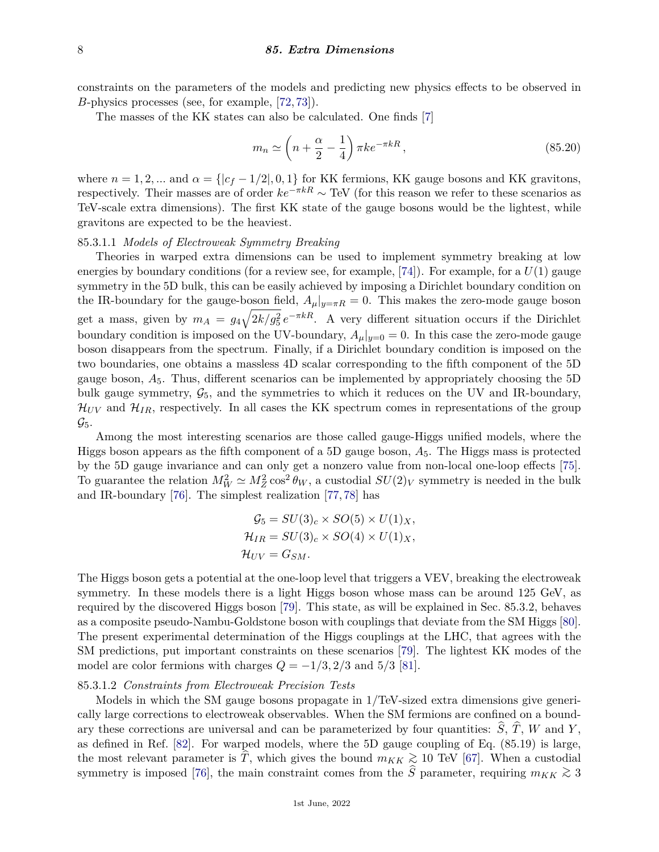constraints on the parameters of the models and predicting new physics effects to be observed in *B*-physics processes (see, for example, [\[72,](#page-13-15) [73\]](#page-13-16)).

The masses of the KK states can also be calculated. One finds [\[7\]](#page-11-6)

$$
m_n \simeq \left(n + \frac{\alpha}{2} - \frac{1}{4}\right) \pi k e^{-\pi k R},\tag{85.20}
$$

where  $n = 1, 2, \dots$  and  $\alpha = \{|c_f - 1/2|, 0, 1\}$  for KK fermions, KK gauge bosons and KK gravitons, respectively. Their masses are of order  $ke^{-\pi kR} \sim \text{TeV}$  (for this reason we refer to these scenarios as TeV-scale extra dimensions). The first KK state of the gauge bosons would be the lightest, while gravitons are expected to be the heaviest.

## 85.3.1.1 *Models of Electroweak Symmetry Breaking*

Theories in warped extra dimensions can be used to implement symmetry breaking at low energies by boundary conditions (for a review see, for example,  $[74]$ ). For example, for a  $U(1)$  gauge symmetry in the 5D bulk, this can be easily achieved by imposing a Dirichlet boundary condition on the IR-boundary for the gauge-boson field,  $A_{\mu}|_{y=\pi R} = 0$ . This makes the zero-mode gauge boson get a mass, given by  $m_A = g_4 \sqrt{2k/g_5^2} e^{-\pi kR}$ . A very different situation occurs if the Dirichlet boundary condition is imposed on the UV-boundary,  $A_{\mu}|_{y=0} = 0$ . In this case the zero-mode gauge boson disappears from the spectrum. Finally, if a Dirichlet boundary condition is imposed on the two boundaries, one obtains a massless 4D scalar corresponding to the fifth component of the 5D gauge boson, *A*5. Thus, different scenarios can be implemented by appropriately choosing the 5D bulk gauge symmetry,  $\mathcal{G}_5$ , and the symmetries to which it reduces on the UV and IR-boundary,  $\mathcal{H}_{UV}$  and  $\mathcal{H}_{IR}$ , respectively. In all cases the KK spectrum comes in representations of the group  $\mathcal{G}_5$ .

Among the most interesting scenarios are those called gauge-Higgs unified models, where the Higgs boson appears as the fifth component of a 5D gauge boson, *A*5. The Higgs mass is protected by the 5D gauge invariance and can only get a nonzero value from non-local one-loop effects [\[75\]](#page-13-18). To guarantee the relation  $M_W^2 \simeq M_Z^2 \cos^2 \theta_W$ , a custodial  $SU(2)_V$  symmetry is needed in the bulk and IR-boundary [\[76\]](#page-13-19). The simplest realization [\[77,](#page-13-20) [78\]](#page-13-21) has

$$
G_5 = SU(3)_c \times SO(5) \times U(1)_X,
$$
  
\n
$$
H_{IR} = SU(3)_c \times SO(4) \times U(1)_X,
$$
  
\n
$$
H_{UV} = G_{SM}.
$$

The Higgs boson gets a potential at the one-loop level that triggers a VEV, breaking the electroweak symmetry. In these models there is a light Higgs boson whose mass can be around 125 GeV, as required by the discovered Higgs boson [\[79\]](#page-13-22). This state, as will be explained in Sec. 85.3.2, behaves as a composite pseudo-Nambu-Goldstone boson with couplings that deviate from the SM Higgs [\[80\]](#page-13-23). The present experimental determination of the Higgs couplings at the LHC, that agrees with the SM predictions, put important constraints on these scenarios [\[79\]](#page-13-22). The lightest KK modes of the model are color fermions with charges  $Q = -1/3, 2/3$  and  $5/3$  [\[81\]](#page-13-24).

## 85.3.1.2 *Constraints from Electroweak Precision Tests*

Models in which the SM gauge bosons propagate in 1/TeV-sized extra dimensions give generically large corrections to electroweak observables. When the SM fermions are confined on a boundary these corrections are universal and can be parameterized by four quantities:  $\hat{S}$ ,  $\hat{T}$ , *W* and *Y*, as defined in Ref. [\[82\]](#page-13-25). For warped models, where the 5D gauge coupling of Eq. (85.19) is large, the most relevant parameter is  $\hat{T}$ , which gives the bound  $m_{KK} \gtrsim 10$  TeV [\[67\]](#page-13-10). When a custodial symmetry is imposed [\[76\]](#page-13-19), the main constraint comes from the  $\hat{S}$  parameter, requiring  $m_{KK} \gtrsim 3$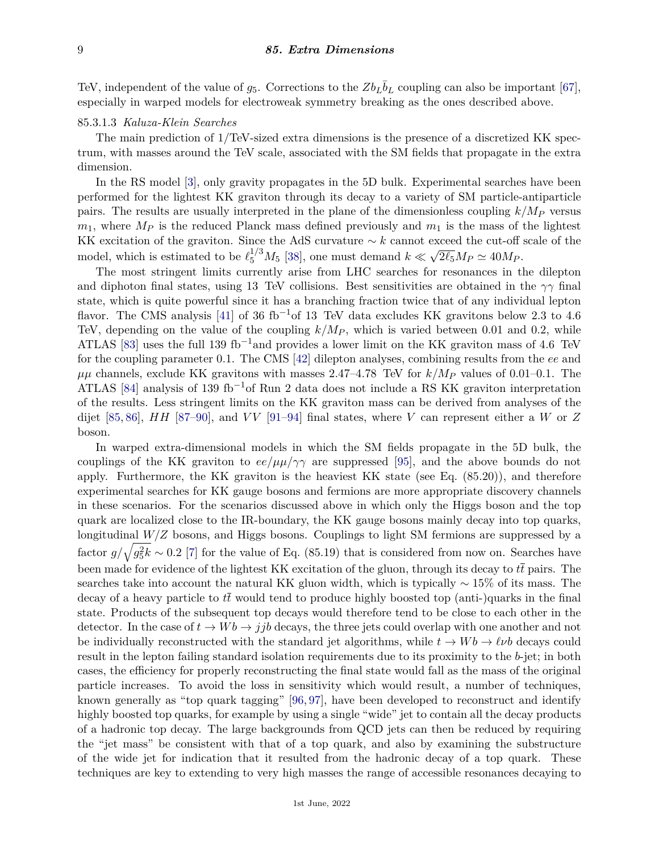TeV, independent of the value of  $g_5$ . Corrections to the  $Zb_L\bar{b}_L$  coupling can also be important [\[67\]](#page-13-10), especially in warped models for electroweak symmetry breaking as the ones described above.

## 85.3.1.3 *Kaluza-Klein Searches*

The main prediction of 1/TeV-sized extra dimensions is the presence of a discretized KK spectrum, with masses around the TeV scale, associated with the SM fields that propagate in the extra dimension.

In the RS model [\[3\]](#page-11-2), only gravity propagates in the 5D bulk. Experimental searches have been performed for the lightest KK graviton through its decay to a variety of SM particle-antiparticle pairs. The results are usually interpreted in the plane of the dimensionless coupling *k/M<sup>P</sup>* versus  $m_1$ , where  $M_P$  is the reduced Planck mass defined previously and  $m_1$  is the mass of the lightest KK excitation of the graviton. Since the AdS curvature ∼ *k* cannot exceed the cut-off scale of the model, which is estimated to be  $\ell_5^{1/3} M_5$  [\[38\]](#page-12-21), one must demand  $k \ll$ √  $\overline{2\ell_5}M_P \simeq 40M_P.$ 

The most stringent limits currently arise from LHC searches for resonances in the dilepton and diphoton final states, using 13 TeV collisions. Best sensitivities are obtained in the *γγ* final state, which is quite powerful since it has a branching fraction twice that of any individual lepton flavor. The CMS analysis [\[41\]](#page-12-24) of 36 fb<sup>-1</sup>of 13 TeV data excludes KK gravitons below 2.3 to 4.6 TeV, depending on the value of the coupling  $k/M_P$ , which is varied between 0.01 and 0.2, while ATLAS [\[83\]](#page-13-26) uses the full 139 fb<sup>-1</sup>and provides a lower limit on the KK graviton mass of 4.6 TeV for the coupling parameter 0.1. The CMS [\[42\]](#page-12-25) dilepton analyses, combining results from the *ee* and  $\mu\mu$  channels, exclude KK gravitons with masses 2.47–4.78 TeV for  $k/M_P$  values of 0.01–0.1. The ATLAS [\[84\]](#page-13-27) analysis of 139 fb<sup>-1</sup>of Run 2 data does not include a RS KK graviton interpretation of the results. Less stringent limits on the KK graviton mass can be derived from analyses of the dijet [\[85,](#page-13-28) [86\]](#page-13-29), *HH* [\[87–](#page-13-30)[90\]](#page-13-31), and *V V* [\[91–](#page-14-0)[94\]](#page-14-1) final states, where *V* can represent either a *W* or *Z* boson.

In warped extra-dimensional models in which the SM fields propagate in the 5D bulk, the couplings of the KK graviton to  $ee/\mu\mu/\gamma\gamma$  are suppressed [\[95\]](#page-14-2), and the above bounds do not apply. Furthermore, the KK graviton is the heaviest KK state (see Eq. (85.20)), and therefore experimental searches for KK gauge bosons and fermions are more appropriate discovery channels in these scenarios. For the scenarios discussed above in which only the Higgs boson and the top quark are localized close to the IR-boundary, the KK gauge bosons mainly decay into top quarks, longitudinal  $W/Z$  bosons, and Higgs bosons. Couplings to light SM fermions are suppressed by a factor  $g/\sqrt{g_5^2k} \sim 0.2$  [\[7\]](#page-11-6) for the value of Eq. (85.19) that is considered from now on. Searches have been made for evidence of the lightest KK excitation of the gluon, through its decay to  $t\bar{t}$  pairs. The searches take into account the natural KK gluon width, which is typically ∼ 15% of its mass. The decay of a heavy particle to  $t\bar{t}$  would tend to produce highly boosted top (anti-)quarks in the final state. Products of the subsequent top decays would therefore tend to be close to each other in the detector. In the case of  $t \to Wb \to jjb$  decays, the three jets could overlap with one another and not be individually reconstructed with the standard jet algorithms, while  $t \to Wb \to \ell \nu b$  decays could result in the lepton failing standard isolation requirements due to its proximity to the *b*-jet; in both cases, the efficiency for properly reconstructing the final state would fall as the mass of the original particle increases. To avoid the loss in sensitivity which would result, a number of techniques, known generally as "top quark tagging" [\[96,](#page-14-3) [97\]](#page-14-4), have been developed to reconstruct and identify highly boosted top quarks, for example by using a single "wide" jet to contain all the decay products of a hadronic top decay. The large backgrounds from QCD jets can then be reduced by requiring the "jet mass" be consistent with that of a top quark, and also by examining the substructure of the wide jet for indication that it resulted from the hadronic decay of a top quark. These techniques are key to extending to very high masses the range of accessible resonances decaying to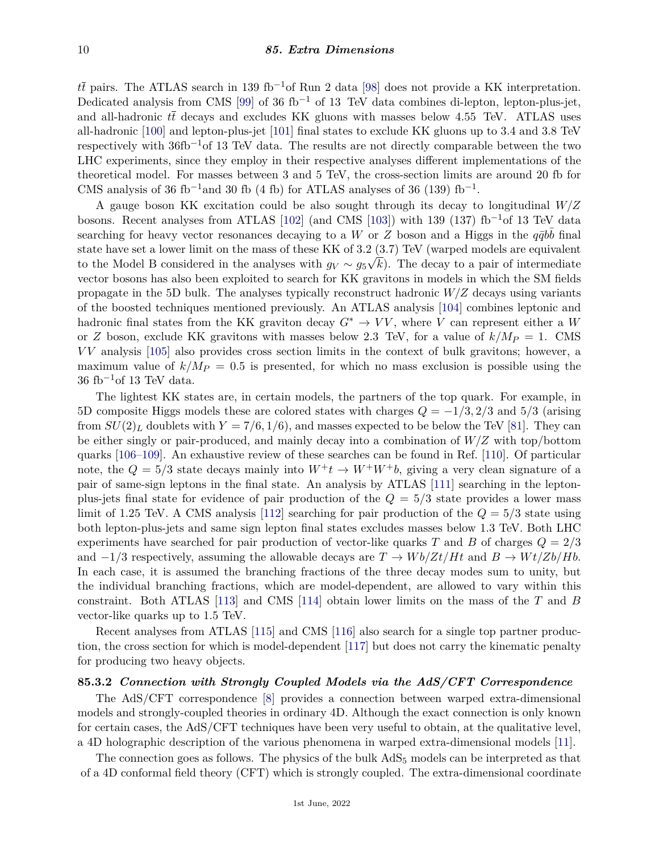$t\bar{t}$  pairs. The ATLAS search in 139 fb<sup>-1</sup>of Run 2 data [\[98\]](#page-14-5) does not provide a KK interpretation. Dedicated analysis from CMS [\[99\]](#page-14-6) of 36 fb<sup>-1</sup> of 13 TeV data combines di-lepton, lepton-plus-jet, and all-hadronic  $t\bar{t}$  decays and excludes KK gluons with masses below 4.55 TeV. ATLAS uses all-hadronic [\[100\]](#page-14-7) and lepton-plus-jet [\[101\]](#page-14-8) final states to exclude KK gluons up to 3.4 and 3.8 TeV respectively with  $36fb^{-1}$ of 13 TeV data. The results are not directly comparable between the two LHC experiments, since they employ in their respective analyses different implementations of the theoretical model. For masses between 3 and 5 TeV, the cross-section limits are around 20 fb for CMS analysis of 36 fb<sup>-1</sup>and 30 fb (4 fb) for ATLAS analyses of 36 (139) fb<sup>-1</sup>.

A gauge boson KK excitation could be also sought through its decay to longitudinal *W/Z* bosons. Recent analyses from ATLAS [\[102\]](#page-14-9) (and CMS [\[103\]](#page-14-10)) with 139 (137) fb<sup>-1</sup>of 13 TeV data searching for heavy vector resonances decaying to a *W* or *Z* boson and a Higgs in the  $q\bar{q}b\bar{b}$  final state have set a lower limit on the mass of these KK of 3.2  $(3.7)$  TeV (warped models are equivalent to the Model B considered in the analyses with  $g_V \sim g_5\sqrt{k}$ ). The decay to a pair of intermediate vector bosons has also been exploited to search for KK gravitons in models in which the SM fields propagate in the 5D bulk. The analyses typically reconstruct hadronic *W/Z* decays using variants of the boosted techniques mentioned previously. An ATLAS analysis [\[104\]](#page-14-11) combines leptonic and hadronic final states from the KK graviton decay  $G^* \to VV$ , where *V* can represent either a *W* or *Z* boson, exclude KK gravitons with masses below 2.3 TeV, for a value of  $k/M_P = 1$ . CMS *V V* analysis [\[105\]](#page-14-12) also provides cross section limits in the context of bulk gravitons; however, a maximum value of  $k/M_P = 0.5$  is presented, for which no mass exclusion is possible using the  $36~{\rm fb^{-1}of}$ 13 TeV data.

The lightest KK states are, in certain models, the partners of the top quark. For example, in 5D composite Higgs models these are colored states with charges *Q* = −1*/*3*,* 2*/*3 and 5*/*3 (arising from  $SU(2)_L$  doublets with  $Y = 7/6, 1/6$ , and masses expected to be below the TeV [\[81\]](#page-13-24). They can be either singly or pair-produced, and mainly decay into a combination of *W/Z* with top/bottom quarks [\[106–](#page-14-13)[109\]](#page-14-14). An exhaustive review of these searches can be found in Ref. [\[110\]](#page-14-15). Of particular note, the  $Q = 5/3$  state decays mainly into  $W^+t \to W^+W^+b$ , giving a very clean signature of a pair of same-sign leptons in the final state. An analysis by ATLAS [\[111\]](#page-14-16) searching in the leptonplus-jets final state for evidence of pair production of the *Q* = 5*/*3 state provides a lower mass limit of 1.25 TeV. A CMS analysis [\[112\]](#page-14-17) searching for pair production of the *Q* = 5*/*3 state using both lepton-plus-jets and same sign lepton final states excludes masses below 1.3 TeV. Both LHC experiments have searched for pair production of vector-like quarks *T* and *B* of charges *Q* = 2*/*3 and  $-1/3$  respectively, assuming the allowable decays are  $T \to Wb/Zt/Ht$  and  $B \to Wt/Zb/Hb$ . In each case, it is assumed the branching fractions of the three decay modes sum to unity, but the individual branching fractions, which are model-dependent, are allowed to vary within this constraint. Both ATLAS [\[113\]](#page-14-18) and CMS [\[114\]](#page-14-19) obtain lower limits on the mass of the *T* and *B* vector-like quarks up to 1.5 TeV.

Recent analyses from ATLAS [\[115\]](#page-14-20) and CMS [\[116\]](#page-14-21) also search for a single top partner production, the cross section for which is model-dependent [\[117\]](#page-14-22) but does not carry the kinematic penalty for producing two heavy objects.

## **85.3.2** *Connection with Strongly Coupled Models via the AdS/CFT Correspondence*

The AdS/CFT correspondence [\[8\]](#page-11-7) provides a connection between warped extra-dimensional models and strongly-coupled theories in ordinary 4D. Although the exact connection is only known for certain cases, the AdS/CFT techniques have been very useful to obtain, at the qualitative level, a 4D holographic description of the various phenomena in warped extra-dimensional models [\[11\]](#page-11-9).

The connection goes as follows. The physics of the bulk  $AdS_5$  models can be interpreted as that of a 4D conformal field theory (CFT) which is strongly coupled. The extra-dimensional coordinate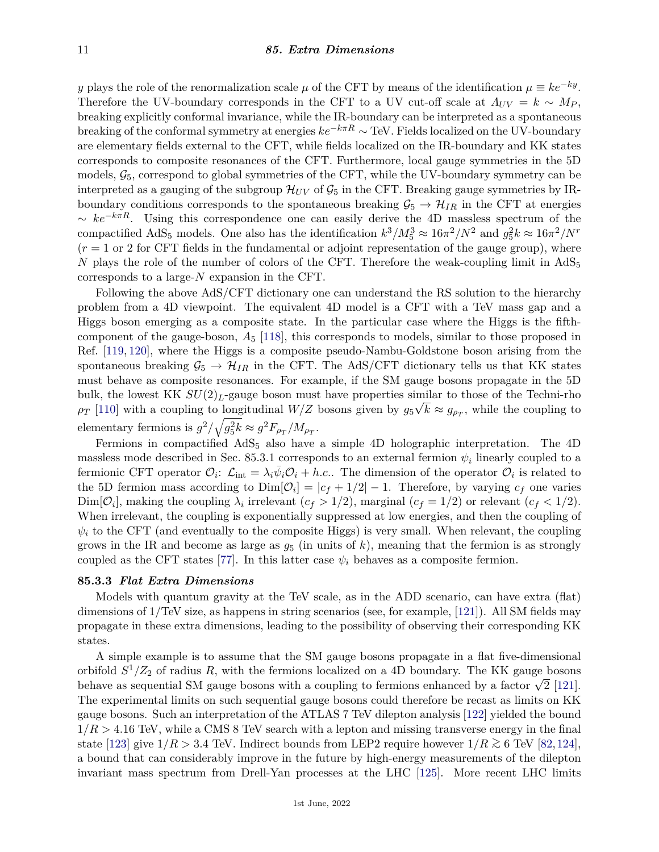*y* plays the role of the renormalization scale  $\mu$  of the CFT by means of the identification  $\mu \equiv ke^{-ky}$ . Therefore the UV-boundary corresponds in the CFT to a UV cut-off scale at  $A_{UV} = k \sim M_P$ , breaking explicitly conformal invariance, while the IR-boundary can be interpreted as a spontaneous breaking of the conformal symmetry at energies *ke*−*kπR* ∼ TeV. Fields localized on the UV-boundary are elementary fields external to the CFT, while fields localized on the IR-boundary and KK states corresponds to composite resonances of the CFT. Furthermore, local gauge symmetries in the 5D models,  $\mathcal{G}_5$ , correspond to global symmetries of the CFT, while the UV-boundary symmetry can be interpreted as a gauging of the subgroup  $\mathcal{H}_{UV}$  of  $\mathcal{G}_5$  in the CFT. Breaking gauge symmetries by IRboundary conditions corresponds to the spontaneous breaking  $\mathcal{G}_5 \to \mathcal{H}_{IR}$  in the CFT at energies ∼ *ke*−*kπR*. Using this correspondence one can easily derive the 4D massless spectrum of the compactified AdS<sub>5</sub> models. One also has the identification  $k^3/M_5^3 \approx 16\pi^2/N^2$  and  $g_5^2 k \approx 16\pi^2/N^r$  $(r = 1 \text{ or } 2 \text{ for CFT fields in the fundamental or adjoint representation of the gauge group), where$ *N* plays the role of the number of colors of the CFT. Therefore the weak-coupling limit in  $AdS_5$ corresponds to a large-*N* expansion in the CFT.

Following the above AdS/CFT dictionary one can understand the RS solution to the hierarchy problem from a 4D viewpoint. The equivalent 4D model is a CFT with a TeV mass gap and a Higgs boson emerging as a composite state. In the particular case where the Higgs is the fifthcomponent of the gauge-boson, *A*<sup>5</sup> [\[118\]](#page-14-23), this corresponds to models, similar to those proposed in Ref. [\[119,](#page-14-24) [120\]](#page-14-25), where the Higgs is a composite pseudo-Nambu-Goldstone boson arising from the spontaneous breaking  $\mathcal{G}_5 \to \mathcal{H}_{IR}$  in the CFT. The AdS/CFT dictionary tells us that KK states must behave as composite resonances. For example, if the SM gauge bosons propagate in the 5D bulk, the lowest KK  $SU(2)_L$ -gauge boson must have properties similar to those of the Techni-rho  $\rho_T$  [\[110\]](#page-14-15) with a coupling to longitudinal *W/Z* bosons given by  $g_5\sqrt{k} \approx g_{\rho_T}$ , while the coupling to elementary fermions is  $g^2/\sqrt{g_5^2k} \approx g^2F_{\rho_T}/M_{\rho_T}$ .

Fermions in compactified AdS<sub>5</sub> also have a simple 4D holographic interpretation. The 4D massless mode described in Sec. 85.3.1 corresponds to an external fermion  $\psi_i$  linearly coupled to a fermionic CFT operator  $\mathcal{O}_i$ :  $\mathcal{L}_{int} = \lambda_i \bar{\psi}_i \mathcal{O}_i + h.c.$ . The dimension of the operator  $\mathcal{O}_i$  is related to the 5D fermion mass according to  $Dim[*O<sub>i</sub>*] = |*c<sub>f</sub>* + 1/2| - 1$ . Therefore, by varying  $c_f$  one varies  $\text{Dim}[\mathcal{O}_i]$ , making the coupling  $\lambda_i$  irrelevant  $(c_f > 1/2)$ , marginal  $(c_f = 1/2)$  or relevant  $(c_f < 1/2)$ . When irrelevant, the coupling is exponentially suppressed at low energies, and then the coupling of  $\psi_i$  to the CFT (and eventually to the composite Higgs) is very small. When relevant, the coupling grows in the IR and become as large as  $g_5$  (in units of  $k$ ), meaning that the fermion is as strongly coupled as the CFT states [\[77\]](#page-13-20). In this latter case  $\psi_i$  behaves as a composite fermion.

#### **85.3.3** *Flat Extra Dimensions*

Models with quantum gravity at the TeV scale, as in the ADD scenario, can have extra (flat) dimensions of 1/TeV size, as happens in string scenarios (see, for example, [\[121\]](#page-14-26)). All SM fields may propagate in these extra dimensions, leading to the possibility of observing their corresponding KK states.

A simple example is to assume that the SM gauge bosons propagate in a flat five-dimensional orbifold *S* <sup>1</sup>*/Z*<sup>2</sup> of radius *R*, with the fermions localized on a 4D boundary. The KK gauge bosons behave as sequential SM gauge bosons with a coupling to fermions enhanced by a factor  $\sqrt{2}$  [\[121\]](#page-14-26). The experimental limits on such sequential gauge bosons could therefore be recast as limits on KK gauge bosons. Such an interpretation of the ATLAS 7 TeV dilepton analysis [\[122\]](#page-14-27) yielded the bound 1*/R >* 4*.*16 TeV, while a CMS 8 TeV search with a lepton and missing transverse energy in the final state [\[123\]](#page-14-28) give  $1/R > 3.4$  TeV. Indirect bounds from LEP2 require however  $1/R \gtrsim 6$  TeV [\[82,](#page-13-25)[124\]](#page-14-29), a bound that can considerably improve in the future by high-energy measurements of the dilepton invariant mass spectrum from Drell-Yan processes at the LHC [\[125\]](#page-14-30). More recent LHC limits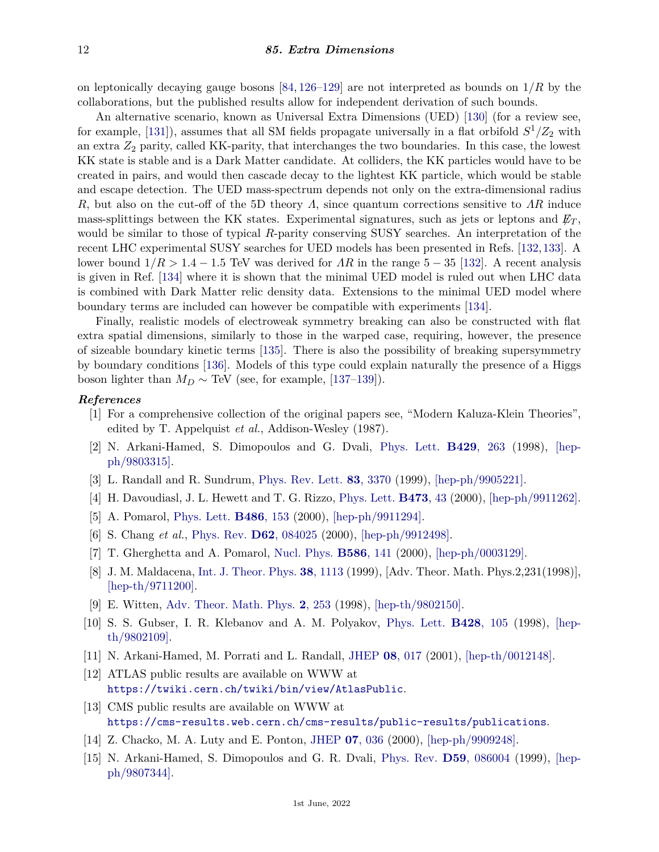on leptonically decaying gauge bosons [\[84,](#page-13-27) [126–](#page-14-31)[129\]](#page-15-0) are not interpreted as bounds on 1*/R* by the collaborations, but the published results allow for independent derivation of such bounds.

An alternative scenario, known as Universal Extra Dimensions (UED) [\[130\]](#page-15-1) (for a review see, for example, [\[131\]](#page-15-2)), assumes that all SM fields propagate universally in a flat orbifold *S* <sup>1</sup>*/Z*<sup>2</sup> with an extra *Z*<sup>2</sup> parity, called KK-parity, that interchanges the two boundaries. In this case, the lowest KK state is stable and is a Dark Matter candidate. At colliders, the KK particles would have to be created in pairs, and would then cascade decay to the lightest KK particle, which would be stable and escape detection. The UED mass-spectrum depends not only on the extra-dimensional radius *R*, but also on the cut-off of the 5D theory *Λ*, since quantum corrections sensitive to *ΛR* induce mass-splittings between the KK states. Experimental signatures, such as jets or leptons and  $\not\!\!E_T$ , would be similar to those of typical *R*-parity conserving SUSY searches. An interpretation of the recent LHC experimental SUSY searches for UED models has been presented in Refs. [\[132,](#page-15-3)[133\]](#page-15-4). A lower bound  $1/R > 1.4 - 1.5$  TeV was derived for AR in the range  $5 - 35$  [\[132\]](#page-15-3). A recent analysis is given in Ref. [\[134\]](#page-15-5) where it is shown that the minimal UED model is ruled out when LHC data is combined with Dark Matter relic density data. Extensions to the minimal UED model where boundary terms are included can however be compatible with experiments [\[134\]](#page-15-5).

Finally, realistic models of electroweak symmetry breaking can also be constructed with flat extra spatial dimensions, similarly to those in the warped case, requiring, however, the presence of sizeable boundary kinetic terms [\[135\]](#page-15-6). There is also the possibility of breaking supersymmetry by boundary conditions [\[136\]](#page-15-7). Models of this type could explain naturally the presence of a Higgs boson lighter than  $M_D \sim \text{TeV}$  (see, for example, [\[137](#page-15-8)[–139\]](#page-15-9)).

## <span id="page-11-0"></span>*References*

- [1] For a comprehensive collection of the original papers see, "Modern Kaluza-Klein Theories", edited by T. Appelquist *et al.*, Addison-Wesley (1987).
- <span id="page-11-1"></span>[2] N. Arkani-Hamed, S. Dimopoulos and G. Dvali, [Phys. Lett.](http://doi.org/10.1016/S0370-2693(98)00466-3) **[B429](http://doi.org/10.1016/S0370-2693(98)00466-3)**, 263 (1998), [\[hep](https://arxiv.org/abs/hep-ph/9803315)[ph/9803315\].](https://arxiv.org/abs/hep-ph/9803315)
- <span id="page-11-2"></span>[3] L. Randall and R. Sundrum, [Phys. Rev. Lett.](http://doi.org/10.1103/PhysRevLett.83.3370) **83**[, 3370](http://doi.org/10.1103/PhysRevLett.83.3370) (1999), [\[hep-ph/9905221\].](https://arxiv.org/abs/hep-ph/9905221)
- <span id="page-11-3"></span>[4] H. Davoudiasl, J. L. Hewett and T. G. Rizzo, [Phys. Lett.](http://doi.org/10.1016/S0370-2693(99)01430-6) **[B473](http://doi.org/10.1016/S0370-2693(99)01430-6)**, 43 (2000), [\[hep-ph/9911262\].](https://arxiv.org/abs/hep-ph/9911262)
- <span id="page-11-5"></span><span id="page-11-4"></span>[5] A. Pomarol, [Phys. Lett.](http://doi.org/10.1016/S0370-2693(00)00737-1) **[B486](http://doi.org/10.1016/S0370-2693(00)00737-1)**, 153 (2000), [\[hep-ph/9911294\].](https://arxiv.org/abs/hep-ph/9911294)
- [6] S. Chang *et al.*, [Phys. Rev.](http://doi.org/10.1103/PhysRevD.62.084025) **D62**[, 084025](http://doi.org/10.1103/PhysRevD.62.084025) (2000), [\[hep-ph/9912498\].](https://arxiv.org/abs/hep-ph/9912498)
- <span id="page-11-7"></span><span id="page-11-6"></span>[7] T. Gherghetta and A. Pomarol, [Nucl. Phys.](http://doi.org/10.1016/S0550-3213(00)00392-8) **[B586](http://doi.org/10.1016/S0550-3213(00)00392-8)**, 141 (2000), [\[hep-ph/0003129\].](https://arxiv.org/abs/hep-ph/0003129)
- [8] J. M. Maldacena, [Int. J. Theor. Phys.](http://doi.org/10.1023/A:1026654312961) **38**[, 1113](http://doi.org/10.1023/A:1026654312961) (1999), [Adv. Theor. Math. Phys.2,231(1998)], [\[hep-th/9711200\].](https://arxiv.org/abs/hep-th/9711200)
- [9] E. Witten, [Adv. Theor. Math. Phys.](http://doi.org/10.4310/ATMP.1998.v2.n2.a2) **2**[, 253](http://doi.org/10.4310/ATMP.1998.v2.n2.a2) (1998), [\[hep-th/9802150\].](https://arxiv.org/abs/hep-th/9802150)
- <span id="page-11-8"></span>[10] S. S. Gubser, I. R. Klebanov and A. M. Polyakov, [Phys. Lett.](http://doi.org/10.1016/S0370-2693(98)00377-3) **[B428](http://doi.org/10.1016/S0370-2693(98)00377-3)**, 105 (1998), [\[hep](https://arxiv.org/abs/hep-th/9802109)[th/9802109\].](https://arxiv.org/abs/hep-th/9802109)
- <span id="page-11-9"></span>[11] N. Arkani-Hamed, M. Porrati and L. Randall, [JHEP](http://doi.org/10.1088/1126-6708/2001/08/017) **08**[, 017](http://doi.org/10.1088/1126-6708/2001/08/017) (2001), [\[hep-th/0012148\].](https://arxiv.org/abs/hep-th/0012148)
- <span id="page-11-10"></span>[12] ATLAS public results are available on WWW at <https://twiki.cern.ch/twiki/bin/view/AtlasPublic>.
- <span id="page-11-11"></span>[13] CMS public results are available on WWW at <https://cms-results.web.cern.ch/cms-results/public-results/publications>.
- <span id="page-11-12"></span>[14] Z. Chacko, M. A. Luty and E. Ponton, [JHEP](http://doi.org/10.1088/1126-6708/2000/07/036) **07**[, 036](http://doi.org/10.1088/1126-6708/2000/07/036) (2000), [\[hep-ph/9909248\].](https://arxiv.org/abs/hep-ph/9909248)
- <span id="page-11-13"></span>[15] N. Arkani-Hamed, S. Dimopoulos and G. R. Dvali, [Phys. Rev.](http://doi.org/10.1103/PhysRevD.59.086004) **D59**[, 086004](http://doi.org/10.1103/PhysRevD.59.086004) (1999), [\[hep](https://arxiv.org/abs/hep-ph/9807344)[ph/9807344\].](https://arxiv.org/abs/hep-ph/9807344)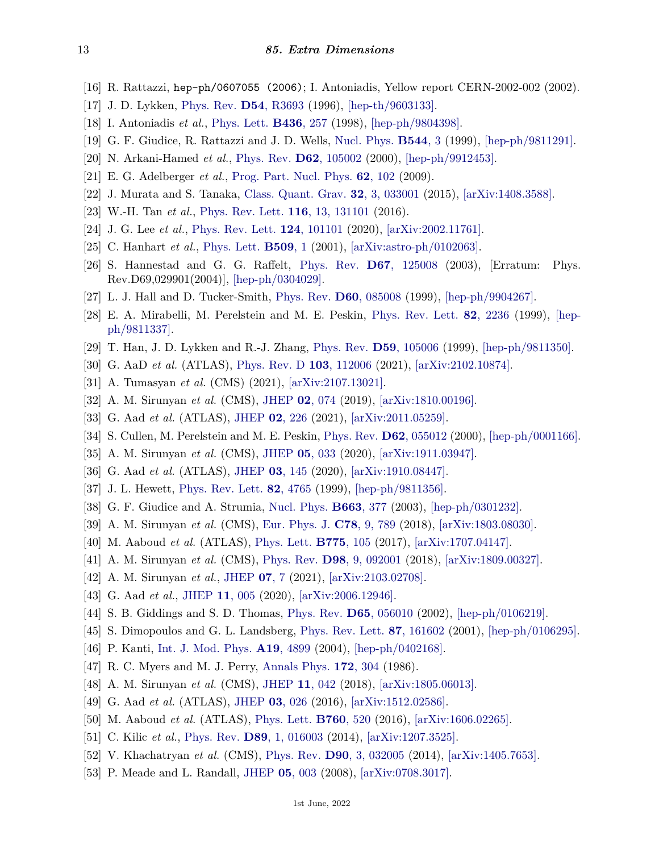- <span id="page-12-0"></span>[16] R. Rattazzi, hep-ph/0607055 (2006); I. Antoniadis, Yellow report CERN-2002-002 (2002).
- <span id="page-12-1"></span>[17] J. D. Lykken, [Phys. Rev.](http://doi.org/10.1103/PhysRevD.54.R3693) **D54**[, R3693](http://doi.org/10.1103/PhysRevD.54.R3693) (1996), [\[hep-th/9603133\].](https://arxiv.org/abs/hep-th/9603133)
- <span id="page-12-2"></span>[18] I. Antoniadis *et al.*, [Phys. Lett.](http://doi.org/10.1016/S0370-2693(98)00860-0) **[B436](http://doi.org/10.1016/S0370-2693(98)00860-0)**, 257 (1998), [\[hep-ph/9804398\].](https://arxiv.org/abs/hep-ph/9804398)
- <span id="page-12-3"></span>[19] G. F. Giudice, R. Rattazzi and J. D. Wells, [Nucl. Phys.](http://doi.org/10.1016/S0550-3213(99)00044-9) **[B544](http://doi.org/10.1016/S0550-3213(99)00044-9)**, 3 (1999), [\[hep-ph/9811291\].](https://arxiv.org/abs/hep-ph/9811291)
- <span id="page-12-4"></span>[20] N. Arkani-Hamed *et al.*, [Phys. Rev.](http://doi.org/10.1103/PhysRevD.62.105002) **D62**[, 105002](http://doi.org/10.1103/PhysRevD.62.105002) (2000), [\[hep-ph/9912453\].](https://arxiv.org/abs/hep-ph/9912453)
- <span id="page-12-5"></span>[21] E. G. Adelberger *et al.*, [Prog. Part. Nucl. Phys.](http://doi.org/10.1016/j.ppnp.2008.08.002) **62**[, 102](http://doi.org/10.1016/j.ppnp.2008.08.002) (2009).
- [22] J. Murata and S. Tanaka, [Class. Quant. Grav.](http://doi.org/10.1088/0264-9381/32/3/033001) **32**[, 3, 033001](http://doi.org/10.1088/0264-9381/32/3/033001) (2015), [\[arXiv:1408.3588\].](https://arxiv.org/abs/1408.3588)
- <span id="page-12-7"></span>[23] W.-H. Tan *et al.*, [Phys. Rev. Lett.](http://doi.org/10.1103/PhysRevLett.116.131101) **116**[, 13, 131101](http://doi.org/10.1103/PhysRevLett.116.131101) (2016).
- <span id="page-12-6"></span>[24] J. G. Lee *et al.*, [Phys. Rev. Lett.](http://doi.org/10.1103/PhysRevLett.124.101101) **124**[, 101101](http://doi.org/10.1103/PhysRevLett.124.101101) (2020), [\[arXiv:2002.11761\].](https://arxiv.org/abs/2002.11761)
- <span id="page-12-8"></span>[25] C. Hanhart *et al.*, [Phys. Lett.](http://doi.org/10.1016/S0370-2693(01)00544-5) **[B509](http://doi.org/10.1016/S0370-2693(01)00544-5)**, 1 (2001), [\[arXiv:astro-ph/0102063\].](https://arxiv.org/abs/astro-ph/0102063)
- <span id="page-12-9"></span>[26] S. Hannestad and G. G. Raffelt, [Phys. Rev.](http://doi.org/10.1103/PhysRevD.69.029901) **D67**[, 125008](http://doi.org/10.1103/PhysRevD.69.029901) (2003), [Erratum: Phys. Rev.D69,029901(2004)], [\[hep-ph/0304029\].](https://arxiv.org/abs/hep-ph/0304029)
- <span id="page-12-10"></span>[27] L. J. Hall and D. Tucker-Smith, [Phys. Rev.](http://doi.org/10.1103/PhysRevD.60.085008) **D60**[, 085008](http://doi.org/10.1103/PhysRevD.60.085008) (1999), [\[hep-ph/9904267\].](https://arxiv.org/abs/hep-ph/9904267)
- <span id="page-12-11"></span>[28] E. A. Mirabelli, M. Perelstein and M. E. Peskin, [Phys. Rev. Lett.](http://doi.org/10.1103/PhysRevLett.82.2236) **82**[, 2236](http://doi.org/10.1103/PhysRevLett.82.2236) (1999), [\[hep](https://arxiv.org/abs/hep-ph/9811337)[ph/9811337\].](https://arxiv.org/abs/hep-ph/9811337)
- <span id="page-12-12"></span>[29] T. Han, J. D. Lykken and R.-J. Zhang, [Phys. Rev.](http://doi.org/10.1103/PhysRevD.59.105006) **D59**[, 105006](http://doi.org/10.1103/PhysRevD.59.105006) (1999), [\[hep-ph/9811350\].](https://arxiv.org/abs/hep-ph/9811350)
- <span id="page-12-13"></span>[30] G. AaD *et al.* (ATLAS), [Phys. Rev. D](http://doi.org/10.1103/PhysRevD.103.112006) **103**[, 112006](http://doi.org/10.1103/PhysRevD.103.112006) (2021), [\[arXiv:2102.10874\].](https://arxiv.org/abs/2102.10874)
- <span id="page-12-14"></span>[31] A. Tumasyan *et al.* (CMS) (2021), [\[arXiv:2107.13021\].](https://arxiv.org/abs/2107.13021)
- <span id="page-12-15"></span>[32] A. M. Sirunyan *et al.* (CMS), [JHEP](http://doi.org/10.1007/JHEP02(2019)074) **02**[, 074](http://doi.org/10.1007/JHEP02(2019)074) (2019), [\[arXiv:1810.00196\].](https://arxiv.org/abs/1810.00196)
- <span id="page-12-16"></span>[33] G. Aad *et al.* (ATLAS), [JHEP](http://doi.org/10.1007/JHEP02(2021)226) **02**[, 226](http://doi.org/10.1007/JHEP02(2021)226) (2021), [\[arXiv:2011.05259\].](https://arxiv.org/abs/2011.05259)
- <span id="page-12-17"></span>[34] S. Cullen, M. Perelstein and M. E. Peskin, [Phys. Rev.](http://doi.org/10.1103/PhysRevD.62.055012) **D62**[, 055012](http://doi.org/10.1103/PhysRevD.62.055012) (2000), [\[hep-ph/0001166\].](https://arxiv.org/abs/hep-ph/0001166)
- <span id="page-12-18"></span>[35] A. M. Sirunyan *et al.* (CMS), [JHEP](http://doi.org/10.1007/JHEP05(2020)033) **05**[, 033](http://doi.org/10.1007/JHEP05(2020)033) (2020), [\[arXiv:1911.03947\].](https://arxiv.org/abs/1911.03947)
- <span id="page-12-19"></span>[36] G. Aad *et al.* (ATLAS), [JHEP](http://doi.org/10.1007/JHEP03(2020)145) **03**[, 145](http://doi.org/10.1007/JHEP03(2020)145) (2020), [\[arXiv:1910.08447\].](https://arxiv.org/abs/1910.08447)
- <span id="page-12-20"></span>[37] J. L. Hewett, [Phys. Rev. Lett.](http://doi.org/10.1103/PhysRevLett.82.4765) **82**[, 4765](http://doi.org/10.1103/PhysRevLett.82.4765) (1999), [\[hep-ph/9811356\].](https://arxiv.org/abs/hep-ph/9811356)
- <span id="page-12-21"></span>[38] G. F. Giudice and A. Strumia, [Nucl. Phys.](http://doi.org/10.1016/S0550-3213(03)00404-8) **[B663](http://doi.org/10.1016/S0550-3213(03)00404-8)**, 377 (2003), [\[hep-ph/0301232\].](https://arxiv.org/abs/hep-ph/0301232)
- <span id="page-12-22"></span>[39] A. M. Sirunyan *et al.* (CMS), [Eur. Phys. J.](http://doi.org/10.1140/epjc/s10052-018-6242-x) **C78**[, 9, 789](http://doi.org/10.1140/epjc/s10052-018-6242-x) (2018), [\[arXiv:1803.08030\].](https://arxiv.org/abs/1803.08030)
- <span id="page-12-23"></span>[40] M. Aaboud *et al.* (ATLAS), [Phys. Lett.](http://doi.org/10.1016/j.physletb.2017.10.039) **[B775](http://doi.org/10.1016/j.physletb.2017.10.039)**, 105 (2017), [\[arXiv:1707.04147\].](https://arxiv.org/abs/1707.04147)
- <span id="page-12-24"></span>[41] A. M. Sirunyan *et al.* (CMS), [Phys. Rev.](http://doi.org/10.1103/PhysRevD.98.092001) **D98**[, 9, 092001](http://doi.org/10.1103/PhysRevD.98.092001) (2018), [\[arXiv:1809.00327\].](https://arxiv.org/abs/1809.00327)
- <span id="page-12-25"></span>[42] A. M. Sirunyan *et al.*, [JHEP](http://doi.org/10.1007/jhep07(2021)208) **[07](http://doi.org/10.1007/jhep07(2021)208)**, 7 (2021), [\[arXiv:2103.02708\].](https://arxiv.org/abs/2103.02708)
- <span id="page-12-26"></span>[43] G. Aad *et al.*, [JHEP](http://doi.org/10.1007/jhep11(2020)005) **11**[, 005](http://doi.org/10.1007/jhep11(2020)005) (2020), [\[arXiv:2006.12946\].](https://arxiv.org/abs/2006.12946)
- <span id="page-12-27"></span>[44] S. B. Giddings and S. D. Thomas, [Phys. Rev.](http://doi.org/10.1103/PhysRevD.65.056010) **D65**[, 056010](http://doi.org/10.1103/PhysRevD.65.056010) (2002), [\[hep-ph/0106219\].](https://arxiv.org/abs/hep-ph/0106219)
- <span id="page-12-28"></span>[45] S. Dimopoulos and G. L. Landsberg, [Phys. Rev. Lett.](http://doi.org/10.1103/PhysRevLett.87.161602) **87**[, 161602](http://doi.org/10.1103/PhysRevLett.87.161602) (2001), [\[hep-ph/0106295\].](https://arxiv.org/abs/hep-ph/0106295)
- <span id="page-12-29"></span>[46] P. Kanti, [Int. J. Mod. Phys.](http://doi.org/10.1142/S0217751X04018324) **A19**[, 4899](http://doi.org/10.1142/S0217751X04018324) (2004), [\[hep-ph/0402168\].](https://arxiv.org/abs/hep-ph/0402168)
- <span id="page-12-31"></span><span id="page-12-30"></span>[47] R. C. Myers and M. J. Perry, [Annals Phys.](http://doi.org/10.1016/0003-4916(86)90186-7) **172**[, 304](http://doi.org/10.1016/0003-4916(86)90186-7) (1986).
- [48] A. M. Sirunyan *et al.* (CMS), [JHEP](http://doi.org/10.1007/JHEP11(2018)042) **11**[, 042](http://doi.org/10.1007/JHEP11(2018)042) (2018), [\[arXiv:1805.06013\].](https://arxiv.org/abs/1805.06013)
- <span id="page-12-33"></span><span id="page-12-32"></span>[49] G. Aad *et al.* (ATLAS), [JHEP](http://doi.org/10.1007/JHEP03(2016)026) **03**[, 026](http://doi.org/10.1007/JHEP03(2016)026) (2016), [\[arXiv:1512.02586\].](https://arxiv.org/abs/1512.02586)
- [50] M. Aaboud *et al.* (ATLAS), [Phys. Lett.](http://doi.org/10.1016/j.physletb.2016.07.030) **[B760](http://doi.org/10.1016/j.physletb.2016.07.030)**, 520 (2016), [\[arXiv:1606.02265\].](https://arxiv.org/abs/1606.02265)
- <span id="page-12-34"></span>[51] C. Kilic *et al.*, [Phys. Rev.](http://doi.org/10.1103/PhysRevD.89.016003) **D89**[, 1, 016003](http://doi.org/10.1103/PhysRevD.89.016003) (2014), [\[arXiv:1207.3525\].](https://arxiv.org/abs/1207.3525)
- <span id="page-12-35"></span>[52] V. Khachatryan *et al.* (CMS), [Phys. Rev.](http://doi.org/10.1103/PhysRevD.90.032005) **D90**[, 3, 032005](http://doi.org/10.1103/PhysRevD.90.032005) (2014), [\[arXiv:1405.7653\].](https://arxiv.org/abs/1405.7653)
- <span id="page-12-36"></span>[53] P. Meade and L. Randall, [JHEP](http://doi.org/10.1088/1126-6708/2008/05/003) **05**[, 003](http://doi.org/10.1088/1126-6708/2008/05/003) (2008), [\[arXiv:0708.3017\].](https://arxiv.org/abs/0708.3017)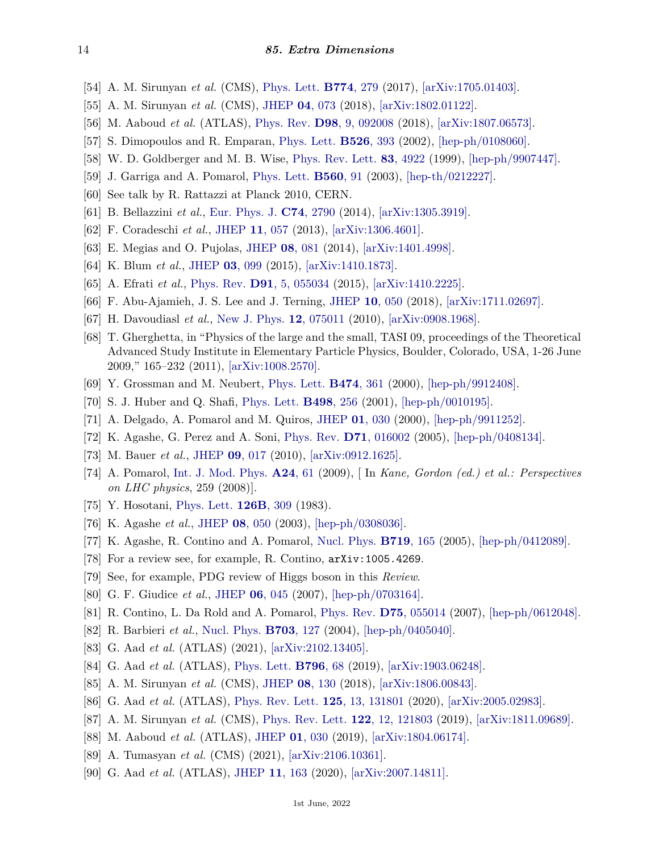- <span id="page-13-0"></span>[54] A. M. Sirunyan *et al.* (CMS), [Phys. Lett.](http://doi.org/10.1016/j.physletb.2017.09.053) **[B774](http://doi.org/10.1016/j.physletb.2017.09.053)**, 279 (2017), [\[arXiv:1705.01403\].](https://arxiv.org/abs/1705.01403)
- <span id="page-13-1"></span>[55] A. M. Sirunyan *et al.* (CMS), [JHEP](http://doi.org/10.1007/JHEP04(2018)073) **04**[, 073](http://doi.org/10.1007/JHEP04(2018)073) (2018), [\[arXiv:1802.01122\].](https://arxiv.org/abs/1802.01122)
- <span id="page-13-2"></span>[56] M. Aaboud *et al.* (ATLAS), [Phys. Rev.](http://doi.org/10.1103/PhysRevD.98.092008) **D98**[, 9, 092008](http://doi.org/10.1103/PhysRevD.98.092008) (2018), [\[arXiv:1807.06573\].](https://arxiv.org/abs/1807.06573)
- <span id="page-13-3"></span>[57] S. Dimopoulos and R. Emparan, [Phys. Lett.](http://doi.org/10.1016/S0370-2693(01)01525-8) **[B526](http://doi.org/10.1016/S0370-2693(01)01525-8)**, 393 (2002), [\[hep-ph/0108060\].](https://arxiv.org/abs/hep-ph/0108060)
- <span id="page-13-4"></span>[58] W. D. Goldberger and M. B. Wise, [Phys. Rev. Lett.](http://doi.org/10.1103/PhysRevLett.83.4922) **83**[, 4922](http://doi.org/10.1103/PhysRevLett.83.4922) (1999), [\[hep-ph/9907447\].](https://arxiv.org/abs/hep-ph/9907447)
- <span id="page-13-5"></span>[59] J. Garriga and A. Pomarol, [Phys. Lett.](http://doi.org/10.1016/S0370-2693(03)00301-0) **[B560](http://doi.org/10.1016/S0370-2693(03)00301-0)**, 91 (2003), [\[hep-th/0212227\].](https://arxiv.org/abs/hep-th/0212227)
- <span id="page-13-6"></span>[60] See talk by R. Rattazzi at Planck 2010, CERN.
- [61] B. Bellazzini *et al.*, [Eur. Phys. J.](http://doi.org/10.1140/epjc/s10052-014-2790-x) **C74**[, 2790](http://doi.org/10.1140/epjc/s10052-014-2790-x) (2014), [\[arXiv:1305.3919\].](https://arxiv.org/abs/1305.3919)
- [62] F. Coradeschi *et al.*, [JHEP](http://doi.org/10.1007/JHEP11(2013)057) **11**[, 057](http://doi.org/10.1007/JHEP11(2013)057) (2013), [\[arXiv:1306.4601\].](https://arxiv.org/abs/1306.4601)
- <span id="page-13-7"></span>[63] E. Megias and O. Pujolas, [JHEP](http://doi.org/10.1007/JHEP08(2014)081) **08**[, 081](http://doi.org/10.1007/JHEP08(2014)081) (2014), [\[arXiv:1401.4998\].](https://arxiv.org/abs/1401.4998)
- <span id="page-13-8"></span>[64] K. Blum *et al.*, [JHEP](http://doi.org/10.1007/JHEP03(2015)099) **03**[, 099](http://doi.org/10.1007/JHEP03(2015)099) (2015), [\[arXiv:1410.1873\].](https://arxiv.org/abs/1410.1873)
- [65] A. Efrati *et al.*, [Phys. Rev.](http://doi.org/10.1103/PhysRevD.91.055034) **D91**[, 5, 055034](http://doi.org/10.1103/PhysRevD.91.055034) (2015), [\[arXiv:1410.2225\].](https://arxiv.org/abs/1410.2225)
- <span id="page-13-9"></span>[66] F. Abu-Ajamieh, J. S. Lee and J. Terning, [JHEP](http://doi.org/10.1007/JHEP10(2018)050) **10**[, 050](http://doi.org/10.1007/JHEP10(2018)050) (2018), [\[arXiv:1711.02697\].](https://arxiv.org/abs/1711.02697)
- <span id="page-13-10"></span>[67] H. Davoudiasl *et al.*, [New J. Phys.](http://doi.org/10.1088/1367-2630/12/7/075011) **12**[, 075011](http://doi.org/10.1088/1367-2630/12/7/075011) (2010), [\[arXiv:0908.1968\].](https://arxiv.org/abs/0908.1968)
- <span id="page-13-11"></span>[68] T. Gherghetta, in "Physics of the large and the small, TASI 09, proceedings of the Theoretical Advanced Study Institute in Elementary Particle Physics, Boulder, Colorado, USA, 1-26 June 2009," 165–232 (2011), [\[arXiv:1008.2570\].](https://arxiv.org/abs/1008.2570)
- <span id="page-13-12"></span>[69] Y. Grossman and M. Neubert, [Phys. Lett.](http://doi.org/10.1016/S0370-2693(00)00054-X) **[B474](http://doi.org/10.1016/S0370-2693(00)00054-X)**, 361 (2000), [\[hep-ph/9912408\].](https://arxiv.org/abs/hep-ph/9912408)
- <span id="page-13-13"></span>[70] S. J. Huber and Q. Shafi, [Phys. Lett.](http://doi.org/10.1016/S0370-2693(00)01399-X) **[B498](http://doi.org/10.1016/S0370-2693(00)01399-X)**, 256 (2001), [\[hep-ph/0010195\].](https://arxiv.org/abs/hep-ph/0010195)
- <span id="page-13-14"></span>[71] A. Delgado, A. Pomarol and M. Quiros, [JHEP](http://doi.org/10.1088/1126-6708/2000/01/030) **01**[, 030](http://doi.org/10.1088/1126-6708/2000/01/030) (2000), [\[hep-ph/9911252\].](https://arxiv.org/abs/hep-ph/9911252)
- <span id="page-13-15"></span>[72] K. Agashe, G. Perez and A. Soni, [Phys. Rev.](http://doi.org/10.1103/PhysRevD.71.016002) **D71**[, 016002](http://doi.org/10.1103/PhysRevD.71.016002) (2005), [\[hep-ph/0408134\].](https://arxiv.org/abs/hep-ph/0408134)
- <span id="page-13-16"></span>[73] M. Bauer *et al.*, [JHEP](http://doi.org/10.1007/JHEP09(2010)017) **09**[, 017](http://doi.org/10.1007/JHEP09(2010)017) (2010), [\[arXiv:0912.1625\].](https://arxiv.org/abs/0912.1625)
- <span id="page-13-17"></span>[74] A. Pomarol, [Int. J. Mod. Phys.](http://doi.org/10.1142/S0217751X09042785) **[A24](http://doi.org/10.1142/S0217751X09042785)**, 61 (2009), [ In *Kane, Gordon (ed.) et al.: Perspectives on LHC physics*, 259 (2008)].
- <span id="page-13-18"></span>[75] Y. Hosotani, [Phys. Lett.](http://doi.org/10.1016/0370-2693(83)90170-3) **[126B](http://doi.org/10.1016/0370-2693(83)90170-3)**, 309 (1983).
- <span id="page-13-19"></span>[76] K. Agashe *et al.*, [JHEP](http://doi.org/10.1088/1126-6708/2003/08/050) **08**[, 050](http://doi.org/10.1088/1126-6708/2003/08/050) (2003), [\[hep-ph/0308036\].](https://arxiv.org/abs/hep-ph/0308036)
- <span id="page-13-21"></span><span id="page-13-20"></span>[77] K. Agashe, R. Contino and A. Pomarol, [Nucl. Phys.](http://doi.org/10.1016/j.nuclphysb.2005.04.035) **[B719](http://doi.org/10.1016/j.nuclphysb.2005.04.035)**, 165 (2005), [\[hep-ph/0412089\].](https://arxiv.org/abs/hep-ph/0412089)
- [78] For a review see, for example, R. Contino, arXiv:1005.4269.
- <span id="page-13-22"></span>[79] See, for example, PDG review of Higgs boson in this *Review*.
- <span id="page-13-23"></span>[80] G. F. Giudice *et al.*, [JHEP](http://doi.org/10.1088/1126-6708/2007/06/045) **06**[, 045](http://doi.org/10.1088/1126-6708/2007/06/045) (2007), [\[hep-ph/0703164\].](https://arxiv.org/abs/hep-ph/0703164)
- <span id="page-13-24"></span>[81] R. Contino, L. Da Rold and A. Pomarol, [Phys. Rev.](http://doi.org/10.1103/PhysRevD.75.055014) **D75**[, 055014](http://doi.org/10.1103/PhysRevD.75.055014) (2007), [\[hep-ph/0612048\].](https://arxiv.org/abs/hep-ph/0612048)
- <span id="page-13-25"></span>[82] R. Barbieri *et al.*, [Nucl. Phys.](http://doi.org/10.1016/j.nuclphysb.2004.10.014) **[B703](http://doi.org/10.1016/j.nuclphysb.2004.10.014)**, 127 (2004), [\[hep-ph/0405040\].](https://arxiv.org/abs/hep-ph/0405040)
- <span id="page-13-26"></span>[83] G. Aad *et al.* (ATLAS) (2021), [\[arXiv:2102.13405\].](https://arxiv.org/abs/2102.13405)
- <span id="page-13-27"></span>[84] G. Aad *et al.* (ATLAS), [Phys. Lett.](http://doi.org/10.1016/j.physletb.2019.07.016) **[B796](http://doi.org/10.1016/j.physletb.2019.07.016)**, 68 (2019), [\[arXiv:1903.06248\].](https://arxiv.org/abs/1903.06248)
- <span id="page-13-28"></span>[85] A. M. Sirunyan *et al.* (CMS), [JHEP](http://doi.org/10.1007/JHEP08(2018)130) **08**[, 130](http://doi.org/10.1007/JHEP08(2018)130) (2018), [\[arXiv:1806.00843\].](https://arxiv.org/abs/1806.00843)
- <span id="page-13-29"></span>[86] G. Aad *et al.* (ATLAS), [Phys. Rev. Lett.](http://doi.org/10.1103/PhysRevLett.125.131801) **125**[, 13, 131801](http://doi.org/10.1103/PhysRevLett.125.131801) (2020), [\[arXiv:2005.02983\].](https://arxiv.org/abs/2005.02983)
- <span id="page-13-30"></span>[87] A. M. Sirunyan *et al.* (CMS), [Phys. Rev. Lett.](http://doi.org/10.1103/PhysRevLett.122.121803) **122**[, 12, 121803](http://doi.org/10.1103/PhysRevLett.122.121803) (2019), [\[arXiv:1811.09689\].](https://arxiv.org/abs/1811.09689)
- [88] M. Aaboud *et al.* (ATLAS), [JHEP](http://doi.org/10.1007/JHEP01(2019)030) **01**[, 030](http://doi.org/10.1007/JHEP01(2019)030) (2019), [\[arXiv:1804.06174\].](https://arxiv.org/abs/1804.06174)
- [89] A. Tumasyan *et al.* (CMS) (2021), [\[arXiv:2106.10361\].](https://arxiv.org/abs/2106.10361)
- <span id="page-13-31"></span>[90] G. Aad *et al.* (ATLAS), [JHEP](http://doi.org/10.1007/JHEP11(2020)163) **11**[, 163](http://doi.org/10.1007/JHEP11(2020)163) (2020), [\[arXiv:2007.14811\].](https://arxiv.org/abs/2007.14811)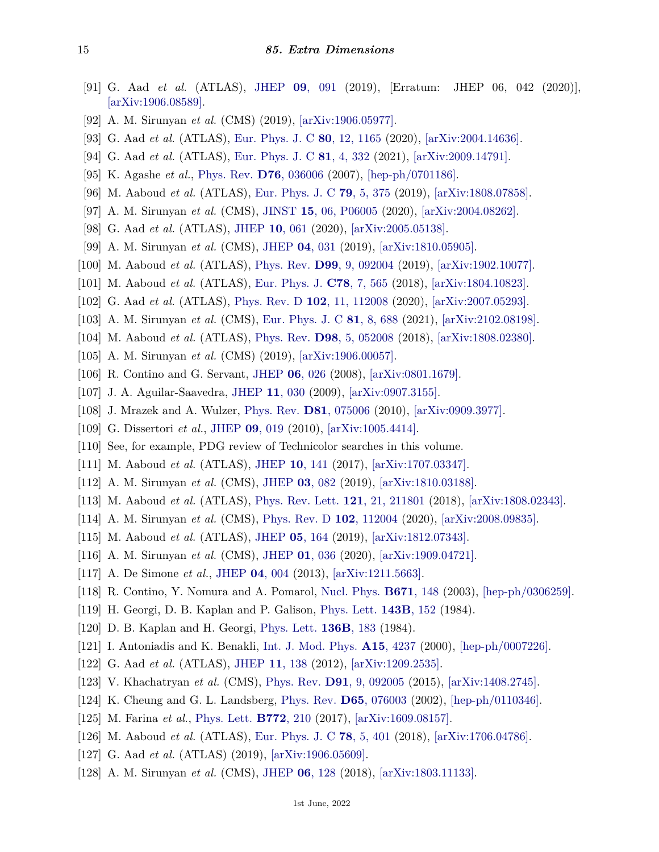- <span id="page-14-0"></span>[91] G. Aad *et al.* (ATLAS), [JHEP](http://doi.org/10.1007/JHEP09(2019)091) **09**[, 091](http://doi.org/10.1007/JHEP09(2019)091) (2019), [Erratum: JHEP 06, 042 (2020)], [\[arXiv:1906.08589\].](https://arxiv.org/abs/1906.08589)
- [92] A. M. Sirunyan *et al.* (CMS) (2019), [\[arXiv:1906.05977\].](https://arxiv.org/abs/1906.05977)
- [93] G. Aad *et al.* (ATLAS), [Eur. Phys. J. C](http://doi.org/10.1140/epjc/s10052-020-08554-y) **80**[, 12, 1165](http://doi.org/10.1140/epjc/s10052-020-08554-y) (2020), [\[arXiv:2004.14636\].](https://arxiv.org/abs/2004.14636)
- <span id="page-14-1"></span>[94] G. Aad *et al.* (ATLAS), [Eur. Phys. J. C](http://doi.org/10.1140/epjc/s10052-021-09013-y) **81**[, 4, 332](http://doi.org/10.1140/epjc/s10052-021-09013-y) (2021), [\[arXiv:2009.14791\].](https://arxiv.org/abs/2009.14791)
- <span id="page-14-2"></span>[95] K. Agashe *et al.*, [Phys. Rev.](http://doi.org/10.1103/PhysRevD.76.036006) **D76**[, 036006](http://doi.org/10.1103/PhysRevD.76.036006) (2007), [\[hep-ph/0701186\].](https://arxiv.org/abs/hep-ph/0701186)
- <span id="page-14-3"></span>[96] M. Aaboud *et al.* (ATLAS), [Eur. Phys. J. C](http://doi.org/10.1140/epjc/s10052-019-6847-8) **79**[, 5, 375](http://doi.org/10.1140/epjc/s10052-019-6847-8) (2019), [\[arXiv:1808.07858\].](https://arxiv.org/abs/1808.07858)
- <span id="page-14-4"></span>[97] A. M. Sirunyan *et al.* (CMS), [JINST](http://doi.org/10.1088/1748-0221/15/06/P06005) **15**[, 06, P06005](http://doi.org/10.1088/1748-0221/15/06/P06005) (2020), [\[arXiv:2004.08262\].](https://arxiv.org/abs/2004.08262)
- <span id="page-14-5"></span>[98] G. Aad *et al.* (ATLAS), [JHEP](http://doi.org/10.1007/JHEP10(2020)061) **10**[, 061](http://doi.org/10.1007/JHEP10(2020)061) (2020), [\[arXiv:2005.05138\].](https://arxiv.org/abs/2005.05138)
- <span id="page-14-6"></span>[99] A. M. Sirunyan *et al.* (CMS), [JHEP](http://doi.org/10.1007/JHEP04(2019)031) **04**[, 031](http://doi.org/10.1007/JHEP04(2019)031) (2019), [\[arXiv:1810.05905\].](https://arxiv.org/abs/1810.05905)
- <span id="page-14-7"></span>[100] M. Aaboud *et al.* (ATLAS), [Phys. Rev.](http://doi.org/10.1103/PhysRevD.99.092004) **D99**[, 9, 092004](http://doi.org/10.1103/PhysRevD.99.092004) (2019), [\[arXiv:1902.10077\].](https://arxiv.org/abs/1902.10077)
- <span id="page-14-8"></span>[101] M. Aaboud *et al.* (ATLAS), [Eur. Phys. J.](http://doi.org/10.1140/epjc/s10052-018-5995-6) **C78**[, 7, 565](http://doi.org/10.1140/epjc/s10052-018-5995-6) (2018), [\[arXiv:1804.10823\].](https://arxiv.org/abs/1804.10823)
- <span id="page-14-9"></span>[102] G. Aad *et al.* (ATLAS), [Phys. Rev. D](http://doi.org/10.1103/PhysRevD.102.112008) **102**[, 11, 112008](http://doi.org/10.1103/PhysRevD.102.112008) (2020), [\[arXiv:2007.05293\].](https://arxiv.org/abs/2007.05293)
- <span id="page-14-10"></span>[103] A. M. Sirunyan *et al.* (CMS), [Eur. Phys. J. C](http://doi.org/10.1140/epjc/s10052-021-09348-6) **81**[, 8, 688](http://doi.org/10.1140/epjc/s10052-021-09348-6) (2021), [\[arXiv:2102.08198\].](https://arxiv.org/abs/2102.08198)
- <span id="page-14-11"></span>[104] M. Aaboud *et al.* (ATLAS), [Phys. Rev.](http://doi.org/10.1103/PhysRevD.98.052008) **D98**[, 5, 052008](http://doi.org/10.1103/PhysRevD.98.052008) (2018), [\[arXiv:1808.02380\].](https://arxiv.org/abs/1808.02380)
- <span id="page-14-12"></span>[105] A. M. Sirunyan *et al.* (CMS) (2019), [\[arXiv:1906.00057\].](https://arxiv.org/abs/1906.00057)
- <span id="page-14-13"></span>[106] R. Contino and G. Servant, [JHEP](http://doi.org/10.1088/1126-6708/2008/06/026) **06**[, 026](http://doi.org/10.1088/1126-6708/2008/06/026) (2008), [\[arXiv:0801.1679\].](https://arxiv.org/abs/0801.1679)
- [107] J. A. Aguilar-Saavedra, [JHEP](http://doi.org/10.1088/1126-6708/2009/11/030) **11**[, 030](http://doi.org/10.1088/1126-6708/2009/11/030) (2009), [\[arXiv:0907.3155\].](https://arxiv.org/abs/0907.3155)
- [108] J. Mrazek and A. Wulzer, [Phys. Rev.](http://doi.org/10.1103/PhysRevD.81.075006) **D81**[, 075006](http://doi.org/10.1103/PhysRevD.81.075006) (2010), [\[arXiv:0909.3977\].](https://arxiv.org/abs/0909.3977)
- <span id="page-14-14"></span>[109] G. Dissertori *et al.*, [JHEP](http://doi.org/10.1007/JHEP09(2010)019) **09**[, 019](http://doi.org/10.1007/JHEP09(2010)019) (2010), [\[arXiv:1005.4414\].](https://arxiv.org/abs/1005.4414)
- <span id="page-14-15"></span>[110] See, for example, PDG review of Technicolor searches in this volume.
- <span id="page-14-16"></span>[111] M. Aaboud *et al.* (ATLAS), [JHEP](http://doi.org/10.1007/JHEP10(2017)141) **10**[, 141](http://doi.org/10.1007/JHEP10(2017)141) (2017), [\[arXiv:1707.03347\].](https://arxiv.org/abs/1707.03347)
- <span id="page-14-17"></span>[112] A. M. Sirunyan *et al.* (CMS), [JHEP](http://doi.org/10.1007/JHEP03(2019)082) **03**[, 082](http://doi.org/10.1007/JHEP03(2019)082) (2019), [\[arXiv:1810.03188\].](https://arxiv.org/abs/1810.03188)
- <span id="page-14-18"></span>[113] M. Aaboud *et al.* (ATLAS), [Phys. Rev. Lett.](http://doi.org/10.1103/PhysRevLett.121.211801) **121**[, 21, 211801](http://doi.org/10.1103/PhysRevLett.121.211801) (2018), [\[arXiv:1808.02343\].](https://arxiv.org/abs/1808.02343)
- <span id="page-14-19"></span>[114] A. M. Sirunyan *et al.* (CMS), [Phys. Rev. D](http://doi.org/10.1103/PhysRevD.102.112004) **102**[, 112004](http://doi.org/10.1103/PhysRevD.102.112004) (2020), [\[arXiv:2008.09835\].](https://arxiv.org/abs/2008.09835)
- <span id="page-14-20"></span>[115] M. Aaboud *et al.* (ATLAS), [JHEP](http://doi.org/10.1007/JHEP05(2019)164) **05**[, 164](http://doi.org/10.1007/JHEP05(2019)164) (2019), [\[arXiv:1812.07343\].](https://arxiv.org/abs/1812.07343)
- <span id="page-14-21"></span>[116] A. M. Sirunyan *et al.* (CMS), [JHEP](http://doi.org/10.1007/JHEP01(2020)036) **01**[, 036](http://doi.org/10.1007/JHEP01(2020)036) (2020), [\[arXiv:1909.04721\].](https://arxiv.org/abs/1909.04721)
- <span id="page-14-22"></span>[117] A. De Simone *et al.*, [JHEP](http://doi.org/10.1007/JHEP04(2013)004) **04**[, 004](http://doi.org/10.1007/JHEP04(2013)004) (2013), [\[arXiv:1211.5663\].](https://arxiv.org/abs/1211.5663)
- <span id="page-14-23"></span>[118] R. Contino, Y. Nomura and A. Pomarol, [Nucl. Phys.](http://doi.org/10.1016/j.nuclphysb.2003.08.027) **[B671](http://doi.org/10.1016/j.nuclphysb.2003.08.027)**, 148 (2003), [\[hep-ph/0306259\].](https://arxiv.org/abs/hep-ph/0306259)
- <span id="page-14-24"></span>[119] H. Georgi, D. B. Kaplan and P. Galison, [Phys. Lett.](http://doi.org/10.1016/0370-2693(84)90823-2) **[143B](http://doi.org/10.1016/0370-2693(84)90823-2)**, 152 (1984).
- <span id="page-14-25"></span>[120] D. B. Kaplan and H. Georgi, [Phys. Lett.](http://doi.org/10.1016/0370-2693(84)91177-8) **[136B](http://doi.org/10.1016/0370-2693(84)91177-8)**, 183 (1984).
- <span id="page-14-26"></span>[121] I. Antoniadis and K. Benakli, [Int. J. Mod. Phys.](http://doi.org/10.1016/S0217-751X(00)00217-0) **A15**[, 4237](http://doi.org/10.1016/S0217-751X(00)00217-0) (2000), [\[hep-ph/0007226\].](https://arxiv.org/abs/hep-ph/0007226)
- <span id="page-14-27"></span>[122] G. Aad *et al.* (ATLAS), [JHEP](http://doi.org/10.1007/JHEP11(2012)138) **11**[, 138](http://doi.org/10.1007/JHEP11(2012)138) (2012), [\[arXiv:1209.2535\].](https://arxiv.org/abs/1209.2535)
- <span id="page-14-28"></span>[123] V. Khachatryan *et al.* (CMS), [Phys. Rev.](http://doi.org/10.1103/PhysRevD.91.092005) **D91**[, 9, 092005](http://doi.org/10.1103/PhysRevD.91.092005) (2015), [\[arXiv:1408.2745\].](https://arxiv.org/abs/1408.2745)
- <span id="page-14-29"></span>[124] K. Cheung and G. L. Landsberg, [Phys. Rev.](http://doi.org/10.1103/PhysRevD.65.076003) **D65**[, 076003](http://doi.org/10.1103/PhysRevD.65.076003) (2002), [\[hep-ph/0110346\].](https://arxiv.org/abs/hep-ph/0110346)
- <span id="page-14-30"></span>[125] M. Farina *et al.*, [Phys. Lett.](http://doi.org/10.1016/j.physletb.2017.06.043) **[B772](http://doi.org/10.1016/j.physletb.2017.06.043)**, 210 (2017), [\[arXiv:1609.08157\].](https://arxiv.org/abs/1609.08157)
- <span id="page-14-31"></span>[126] M. Aaboud *et al.* (ATLAS), [Eur. Phys. J. C](http://doi.org/10.1140/epjc/s10052-018-5877-y) **78**[, 5, 401](http://doi.org/10.1140/epjc/s10052-018-5877-y) (2018), [\[arXiv:1706.04786\].](https://arxiv.org/abs/1706.04786)
- [127] G. Aad *et al.* (ATLAS) (2019), [\[arXiv:1906.05609\].](https://arxiv.org/abs/1906.05609)
- [128] A. M. Sirunyan *et al.* (CMS), [JHEP](http://doi.org/10.1007/JHEP06(2018)128) **06**[, 128](http://doi.org/10.1007/JHEP06(2018)128) (2018), [\[arXiv:1803.11133\].](https://arxiv.org/abs/1803.11133)